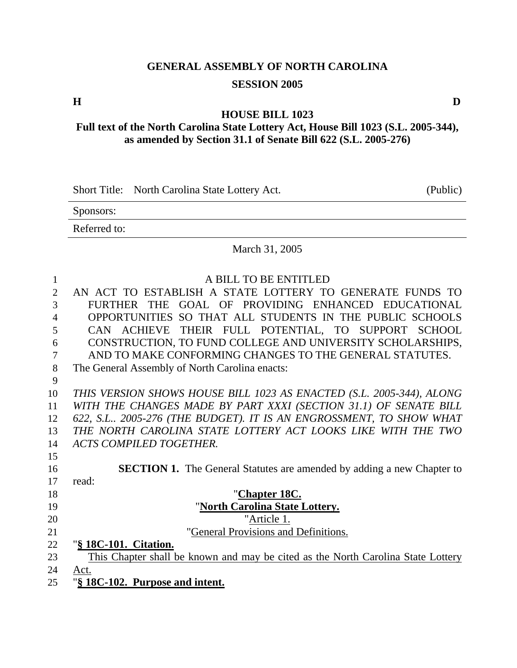# **GENERAL ASSEMBLY OF NORTH CAROLINA SESSION 2005**

**HOUSE BILL 1023** 

**Full text of the North Carolina State Lottery Act, House Bill 1023 (S.L. 2005-344), as amended by Section 31.1 of Senate Bill 622 (S.L. 2005-276)** 

Short Title: North Carolina State Lottery Act. (Public)

Sponsors:

Referred to:

#### March 31, 2005

| 1              | A BILL TO BE ENTITLED                                                            |
|----------------|----------------------------------------------------------------------------------|
| $\overline{2}$ | AN ACT TO ESTABLISH A STATE LOTTERY TO GENERATE FUNDS TO                         |
| 3              | GOAL OF PROVIDING ENHANCED EDUCATIONAL<br>FURTHER THE                            |
| 4              | OPPORTUNITIES SO THAT ALL STUDENTS IN THE PUBLIC SCHOOLS                         |
| 5              | CAN ACHIEVE THEIR FULL POTENTIAL, TO SUPPORT SCHOOL                              |
| 6              | CONSTRUCTION, TO FUND COLLEGE AND UNIVERSITY SCHOLARSHIPS,                       |
| 7              | AND TO MAKE CONFORMING CHANGES TO THE GENERAL STATUTES.                          |
| 8              | The General Assembly of North Carolina enacts:                                   |
| 9              |                                                                                  |
| 10             | THIS VERSION SHOWS HOUSE BILL 1023 AS ENACTED (S.L. 2005-344), ALONG             |
| 11             | WITH THE CHANGES MADE BY PART XXXI (SECTION 31.1) OF SENATE BILL                 |
| 12             | 622, S.L., 2005-276 (THE BUDGET). IT IS AN ENGROSSMENT, TO SHOW WHAT             |
| 13             | THE NORTH CAROLINA STATE LOTTERY ACT LOOKS LIKE WITH THE TWO                     |
| 14             | <b>ACTS COMPILED TOGETHER.</b>                                                   |
| 15             |                                                                                  |
| 16             | <b>SECTION 1.</b> The General Statutes are amended by adding a new Chapter to    |
| 17             | read:                                                                            |
| 18             | "Chapter 18C.                                                                    |
| 19             | "North Carolina State Lottery.                                                   |
| 20             | "Article 1.                                                                      |
| 21             | 'General Provisions and Definitions.                                             |
| 22             | "§ 18C-101. Citation.                                                            |
| 23             | This Chapter shall be known and may be cited as the North Carolina State Lottery |
| 24             | Act.                                                                             |
| 25             | "§ 18C-102. Purpose and intent.                                                  |
|                |                                                                                  |

**H D**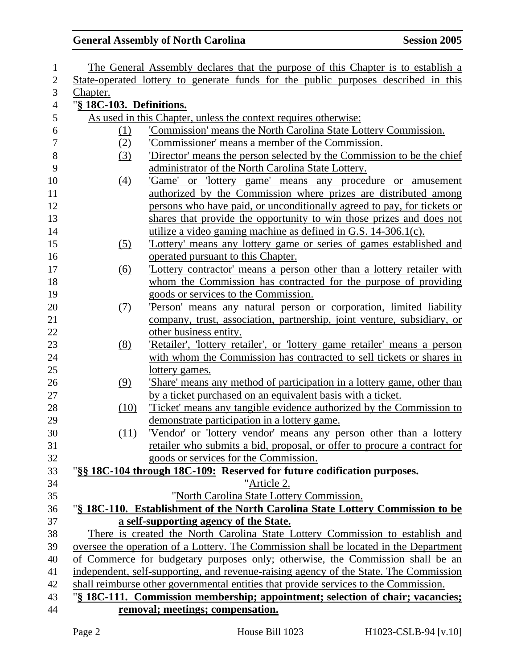| 1                |                          | The General Assembly declares that the purpose of this Chapter is to establish a      |
|------------------|--------------------------|---------------------------------------------------------------------------------------|
| $\mathbf{2}$     |                          | State-operated lottery to generate funds for the public purposes described in this    |
| 3                | <u>Chapter.</u>          |                                                                                       |
| $\overline{4}$   | "§ 18C-103. Definitions. |                                                                                       |
| 5                |                          | As used in this Chapter, unless the context requires otherwise:                       |
| 6                | <u>(1)</u>               | 'Commission' means the North Carolina State Lottery Commission.                       |
| $\boldsymbol{7}$ | (2)                      | 'Commissioner' means a member of the Commission.                                      |
| $8\,$            | (3)                      | Director' means the person selected by the Commission to be the chief                 |
| 9                |                          | administrator of the North Carolina State Lottery.                                    |
| 10               | $\left(4\right)$         | 'Game' or 'lottery game' means any procedure or amusement                             |
| 11               |                          | authorized by the Commission where prizes are distributed among                       |
| 12               |                          | persons who have paid, or unconditionally agreed to pay, for tickets or               |
| 13               |                          | shares that provide the opportunity to win those prizes and does not                  |
| 14               |                          | utilize a video gaming machine as defined in G.S. 14-306.1(c).                        |
| 15               | (5)                      | 'Lottery' means any lottery game or series of games established and                   |
| 16               |                          | operated pursuant to this Chapter.                                                    |
| 17               | $\underline{(6)}$        | Lottery contractor' means a person other than a lottery retailer with                 |
| 18               |                          | whom the Commission has contracted for the purpose of providing                       |
| 19               |                          | goods or services to the Commission.                                                  |
| 20               | (7)                      | Person' means any natural person or corporation, limited liability                    |
| 21               |                          | company, trust, association, partnership, joint venture, subsidiary, or               |
| 22               |                          | other business entity.                                                                |
| 23               | (8)                      | 'Retailer', 'lottery retailer', or 'lottery game retailer' means a person             |
| 24               |                          | with whom the Commission has contracted to sell tickets or shares in                  |
| 25               |                          | lottery games.                                                                        |
| 26               | (9)                      | 'Share' means any method of participation in a lottery game, other than               |
| 27               |                          | by a ticket purchased on an equivalent basis with a ticket.                           |
| 28               | (10)                     | Ticket' means any tangible evidence authorized by the Commission to                   |
| 29               |                          | demonstrate participation in a lottery game.                                          |
| 30               | (11)                     | 'Vendor' or 'lottery vendor' means any person other than a lottery                    |
| 31               |                          | retailer who submits a bid, proposal, or offer to procure a contract for              |
| 32               |                          | goods or services for the Commission.                                                 |
| 33               |                          | "§§ 18C-104 through 18C-109: Reserved for future codification purposes.               |
| 34               |                          | "Article 2.                                                                           |
| 35               |                          | "North Carolina State Lottery Commission.                                             |
| 36               |                          | "§ 18C-110. Establishment of the North Carolina State Lottery Commission to be        |
| 37               |                          | a self-supporting agency of the State.                                                |
| 38               |                          | There is created the North Carolina State Lottery Commission to establish and         |
| 39               |                          | oversee the operation of a Lottery. The Commission shall be located in the Department |
| 40               |                          | of Commerce for budgetary purposes only; otherwise, the Commission shall be an        |
| 41               |                          | independent, self-supporting, and revenue-raising agency of the State. The Commission |
| 42               |                          | shall reimburse other governmental entities that provide services to the Commission.  |
| 43               |                          | "§ 18C-111. Commission membership; appointment; selection of chair; vacancies;        |
| 44               |                          | removal; meetings; compensation.                                                      |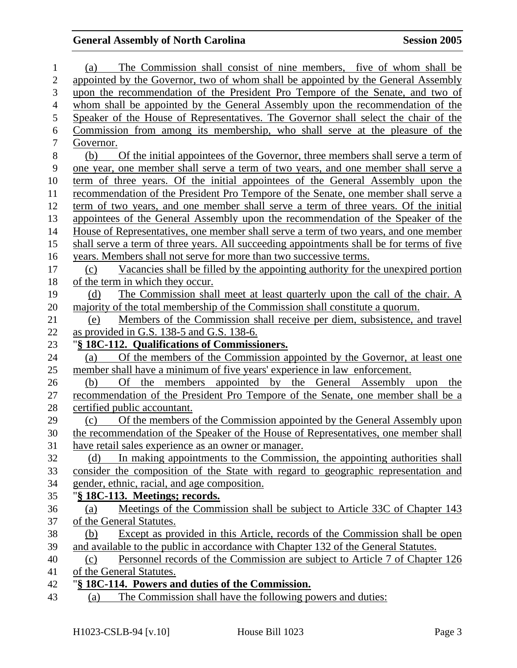| 1                | The Commission shall consist of nine members, five of whom shall be<br>(a)                                                         |
|------------------|------------------------------------------------------------------------------------------------------------------------------------|
| $\overline{2}$   | appointed by the Governor, two of whom shall be appointed by the General Assembly                                                  |
| 3                | upon the recommendation of the President Pro Tempore of the Senate, and two of                                                     |
| $\overline{4}$   | whom shall be appointed by the General Assembly upon the recommendation of the                                                     |
| 5                | Speaker of the House of Representatives. The Governor shall select the chair of the                                                |
| 6                | Commission from among its membership, who shall serve at the pleasure of the                                                       |
| $\tau$           | Governor.                                                                                                                          |
| 8                | (b)<br>Of the initial appointees of the Governor, three members shall serve a term of                                              |
| $\boldsymbol{9}$ | one year, one member shall serve a term of two years, and one member shall serve a                                                 |
| 10               | term of three years. Of the initial appointees of the General Assembly upon the                                                    |
| 11               | recommendation of the President Pro Tempore of the Senate, one member shall serve a                                                |
| 12               | term of two years, and one member shall serve a term of three years. Of the initial                                                |
| 13               | appointees of the General Assembly upon the recommendation of the Speaker of the                                                   |
| 14               | House of Representatives, one member shall serve a term of two years, and one member                                               |
| 15               | shall serve a term of three years. All succeeding appointments shall be for terms of five                                          |
| 16               | years. Members shall not serve for more than two successive terms.                                                                 |
| 17               | Vacancies shall be filled by the appointing authority for the unexpired portion<br>(c)                                             |
| 18               | of the term in which they occur.                                                                                                   |
| 19               | The Commission shall meet at least quarterly upon the call of the chair. A<br>(d)                                                  |
| 20               | majority of the total membership of the Commission shall constitute a quorum.                                                      |
| 21               | Members of the Commission shall receive per diem, subsistence, and travel<br>(e)                                                   |
| 22               | as provided in G.S. 138-5 and G.S. 138-6.                                                                                          |
| 23               | "§ 18C-112. Qualifications of Commissioners.                                                                                       |
| 24               | Of the members of the Commission appointed by the Governor, at least one<br>(a)                                                    |
| 25               | member shall have a minimum of five years' experience in law enforcement.                                                          |
| 26               | the members appointed by the General Assembly upon the<br>(b)<br>Of                                                                |
| 27               | recommendation of the President Pro Tempore of the Senate, one member shall be a                                                   |
| 28               | certified public accountant.                                                                                                       |
| 29               | Of the members of the Commission appointed by the General Assembly upon<br>(c)                                                     |
| 30               | the recommendation of the Speaker of the House of Representatives, one member shall                                                |
| 31               | have retail sales experience as an owner or manager.                                                                               |
| 32               | In making appointments to the Commission, the appointing authorities shall<br>(d)                                                  |
| 33<br>34         | consider the composition of the State with regard to geographic representation and<br>gender, ethnic, racial, and age composition. |
| 35               | "§ 18C-113. Meetings; records.                                                                                                     |
| 36               | Meetings of the Commission shall be subject to Article 33C of Chapter 143<br>(a)                                                   |
| 37               | of the General Statutes.                                                                                                           |
| 38               | Except as provided in this Article, records of the Commission shall be open<br>(b)                                                 |
| 39               | and available to the public in accordance with Chapter 132 of the General Statutes.                                                |
| 40               | Personnel records of the Commission are subject to Article 7 of Chapter 126<br>(c)                                                 |
| 41               | of the General Statutes.                                                                                                           |
| 42               | "§ 18C-114. Powers and duties of the Commission.                                                                                   |
| 43               | The Commission shall have the following powers and duties:<br>(a)                                                                  |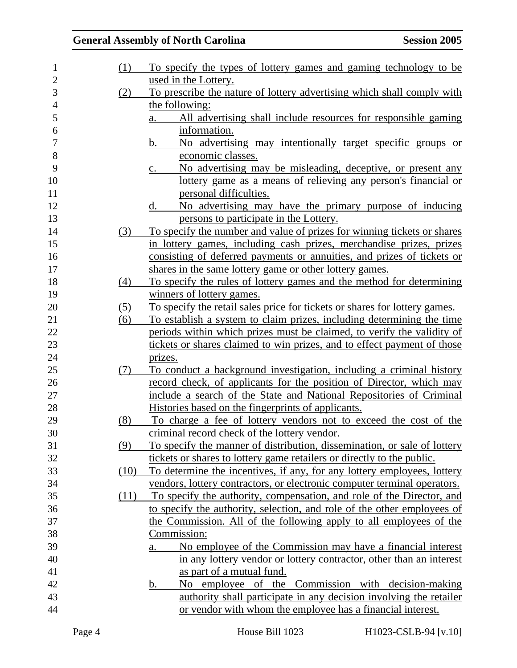| $\mathbf{1}$ | (1)  | To specify the types of lottery games and gaming technology to be          |
|--------------|------|----------------------------------------------------------------------------|
| 2            |      | used in the Lottery.                                                       |
| 3            | (2)  | To prescribe the nature of lottery advertising which shall comply with     |
| 4            |      | the following:                                                             |
| 5            |      | All advertising shall include resources for responsible gaming<br>a.       |
| 6            |      | information.                                                               |
| 7            |      | No advertising may intentionally target specific groups or<br>b.           |
| $8\,$        |      | economic classes.                                                          |
| 9            |      | No advertising may be misleading, deceptive, or present any<br>$c_{\cdot}$ |
| 10           |      | lottery game as a means of relieving any person's financial or             |
| 11           |      | personal difficulties.                                                     |
| 12           |      | No advertising may have the primary purpose of inducing<br>d.              |
| 13           |      | persons to participate in the Lottery.                                     |
| 14           | (3)  | To specify the number and value of prizes for winning tickets or shares    |
| 15           |      | in lottery games, including cash prizes, merchandise prizes, prizes        |
| 16           |      | consisting of deferred payments or annuities, and prizes of tickets or     |
| 17           |      | shares in the same lottery game or other lottery games.                    |
| 18           | (4)  | To specify the rules of lottery games and the method for determining       |
| 19           |      | winners of lottery games.                                                  |
| 20           | (5)  | To specify the retail sales price for tickets or shares for lottery games. |
| 21           | (6)  | To establish a system to claim prizes, including determining the time      |
| 22           |      | periods within which prizes must be claimed, to verify the validity of     |
| 23           |      | tickets or shares claimed to win prizes, and to effect payment of those    |
| 24           |      | prizes.                                                                    |
| 25           | (7)  | To conduct a background investigation, including a criminal history        |
| 26           |      | record check, of applicants for the position of Director, which may        |
| 27           |      | include a search of the State and National Repositories of Criminal        |
| 28           |      | Histories based on the fingerprints of applicants.                         |
| 29           | (8)  | To charge a fee of lottery vendors not to exceed the cost of the           |
| 30           |      | criminal record check of the lottery vendor.                               |
| 31           | (9)  | To specify the manner of distribution, dissemination, or sale of lottery   |
| 32           |      | tickets or shares to lottery game retailers or directly to the public.     |
| 33           | (10) | To determine the incentives, if any, for any lottery employees, lottery    |
| 34           |      | vendors, lottery contractors, or electronic computer terminal operators.   |
| 35           | (11) | To specify the authority, compensation, and role of the Director, and      |
| 36           |      | to specify the authority, selection, and role of the other employees of    |
| 37           |      | the Commission. All of the following apply to all employees of the         |
| 38           |      | Commission:                                                                |
| 39           |      | No employee of the Commission may have a financial interest<br>a.          |
| 40           |      | in any lottery vendor or lottery contractor, other than an interest        |
| 41           |      | as part of a mutual fund.                                                  |
| 42           |      | No employee of the Commission with decision-making<br>b.                   |
| 43           |      | authority shall participate in any decision involving the retailer         |
| 44           |      | or vendor with whom the employee has a financial interest.                 |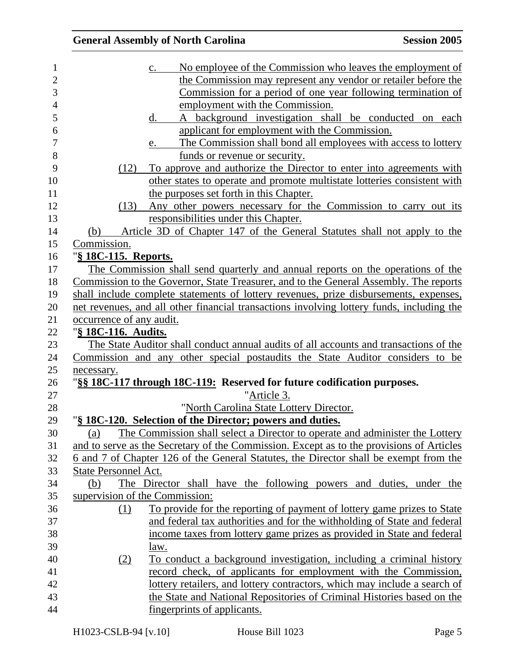|                             | <b>General Assembly of North Carolina</b>                                                 | <b>Session 2005</b> |
|-----------------------------|-------------------------------------------------------------------------------------------|---------------------|
|                             | No employee of the Commission who leaves the employment of<br>$\mathbf{c}$ .              |                     |
|                             | the Commission may represent any vendor or retailer before the                            |                     |
|                             | Commission for a period of one year following termination of                              |                     |
|                             | employment with the Commission.                                                           |                     |
|                             | A background investigation shall be conducted on each<br>d.                               |                     |
|                             | applicant for employment with the Commission.                                             |                     |
|                             | The Commission shall bond all employees with access to lottery<br>e.                      |                     |
|                             | funds or revenue or security.                                                             |                     |
| (12)                        | To approve and authorize the Director to enter into agreements with                       |                     |
|                             | other states to operate and promote multistate lotteries consistent with                  |                     |
|                             | the purposes set forth in this Chapter.                                                   |                     |
| (13)                        | Any other powers necessary for the Commission to carry out its                            |                     |
|                             | responsibilities under this Chapter.                                                      |                     |
| (b)                         | Article 3D of Chapter 147 of the General Statutes shall not apply to the                  |                     |
| Commission.                 |                                                                                           |                     |
| "§ 18C-115. Reports.        |                                                                                           |                     |
|                             | The Commission shall send quarterly and annual reports on the operations of the           |                     |
|                             | Commission to the Governor, State Treasurer, and to the General Assembly. The reports     |                     |
|                             | shall include complete statements of lottery revenues, prize disbursements, expenses,     |                     |
|                             | net revenues, and all other financial transactions involving lottery funds, including the |                     |
| occurrence of any audit.    |                                                                                           |                     |
| "§ 18C-116. Audits.         |                                                                                           |                     |
|                             | The State Auditor shall conduct annual audits of all accounts and transactions of the     |                     |
|                             | Commission and any other special postaudits the State Auditor considers to be             |                     |
| necessary.                  |                                                                                           |                     |
|                             | "§§ 18C-117 through 18C-119: Reserved for future codification purposes.                   |                     |
|                             | "Article 3.                                                                               |                     |
|                             | "North Carolina State Lottery Director.                                                   |                     |
|                             | "§ 18C-120. Selection of the Director; powers and duties.                                 |                     |
| (a)                         | The Commission shall select a Director to operate and administer the Lottery              |                     |
|                             | and to serve as the Secretary of the Commission. Except as to the provisions of Articles  |                     |
|                             | 6 and 7 of Chapter 126 of the General Statutes, the Director shall be exempt from the     |                     |
| <b>State Personnel Act.</b> |                                                                                           |                     |
| (b)                         | The Director shall have the following powers and duties, under the                        |                     |
|                             | supervision of the Commission:                                                            |                     |
| (1)                         | To provide for the reporting of payment of lottery game prizes to State                   |                     |
|                             | and federal tax authorities and for the withholding of State and federal                  |                     |
|                             | income taxes from lottery game prizes as provided in State and federal                    |                     |
|                             | law.                                                                                      |                     |
| (2)                         | To conduct a background investigation, including a criminal history                       |                     |
|                             | record check, of applicants for employment with the Commission,                           |                     |
|                             | lottery retailers, and lottery contractors, which may include a search of                 |                     |
|                             | the State and National Repositories of Criminal Histories based on the                    |                     |
|                             | fingerprints of applicants.                                                               |                     |
|                             |                                                                                           |                     |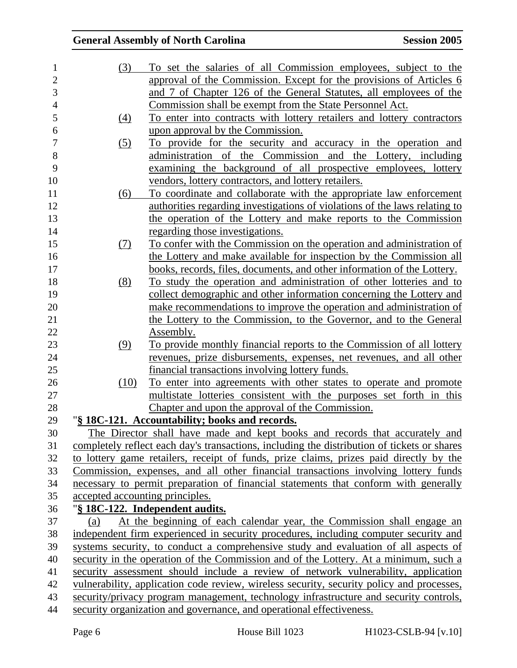| 1              | (3)                             | To set the salaries of all Commission employees, subject to the                             |
|----------------|---------------------------------|---------------------------------------------------------------------------------------------|
| $\overline{2}$ |                                 | approval of the Commission. Except for the provisions of Articles 6                         |
| 3              |                                 | and 7 of Chapter 126 of the General Statutes, all employees of the                          |
| $\overline{4}$ |                                 | <u>Commission shall be exempt from the State Personnel Act.</u>                             |
| 5              | (4)                             | To enter into contracts with lottery retailers and lottery contractors                      |
| 6              |                                 | upon approval by the Commission.                                                            |
| 7              | (5)                             | To provide for the security and accuracy in the operation and                               |
| 8              |                                 | administration of the Commission and the Lottery, including                                 |
| 9              |                                 | examining the background of all prospective employees, lottery                              |
| 10             |                                 | vendors, lottery contractors, and lottery retailers.                                        |
| 11             | (6)                             | To coordinate and collaborate with the appropriate law enforcement                          |
| 12             |                                 | authorities regarding investigations of violations of the laws relating to                  |
| 13             |                                 | the operation of the Lottery and make reports to the Commission                             |
| 14             |                                 | regarding those investigations.                                                             |
| 15             | (7)                             | To confer with the Commission on the operation and administration of                        |
| 16             |                                 | the Lottery and make available for inspection by the Commission all                         |
| 17             |                                 | <u>books, records, files, documents, and other information of the Lottery.</u>              |
| 18             | (8)                             | To study the operation and administration of other lotteries and to                         |
| 19             |                                 | collect demographic and other information concerning the Lottery and                        |
| 20             |                                 | make recommendations to improve the operation and administration of                         |
| 21             |                                 | the Lottery to the Commission, to the Governor, and to the General                          |
| 22             |                                 | Assembly.                                                                                   |
| 23             | (9)                             | To provide monthly financial reports to the Commission of all lottery                       |
| 24             |                                 | revenues, prize disbursements, expenses, net revenues, and all other                        |
| 25             |                                 | financial transactions involving lottery funds.                                             |
| 26             | (10)                            | To enter into agreements with other states to operate and promote                           |
| 27             |                                 | multistate lotteries consistent with the purposes set forth in this                         |
| 28             |                                 | Chapter and upon the approval of the Commission.                                            |
| 29             |                                 | "§ 18C-121. Accountability; books and records.                                              |
| 30             |                                 | The Director shall have made and kept books and records that accurately and                 |
| 31             |                                 | completely reflect each day's transactions, including the distribution of tickets or shares |
| 32             |                                 | to lottery game retailers, receipt of funds, prize claims, prizes paid directly by the      |
| 33             |                                 | Commission, expenses, and all other financial transactions involving lottery funds          |
| 34             |                                 | necessary to permit preparation of financial statements that conform with generally         |
| 35             | accepted accounting principles. |                                                                                             |
| 36             |                                 | "§ 18C-122. Independent audits.                                                             |
| 37             | (a)                             | At the beginning of each calendar year, the Commission shall engage an                      |
| 38             |                                 | independent firm experienced in security procedures, including computer security and        |
| 39             |                                 | systems security, to conduct a comprehensive study and evaluation of all aspects of         |
| 40             |                                 | security in the operation of the Commission and of the Lottery. At a minimum, such a        |
| 41             |                                 | security assessment should include a review of network vulnerability, application           |
| 42             |                                 | vulnerability, application code review, wireless security, security policy and processes,   |
| 43             |                                 | security/privacy program management, technology infrastructure and security controls,       |
| 44             |                                 | security organization and governance, and operational effectiveness.                        |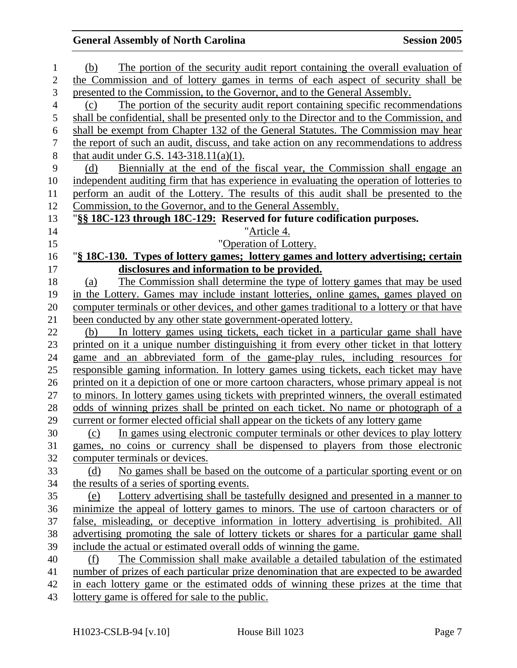| 1              | The portion of the security audit report containing the overall evaluation of<br>(b)                                                                                     |
|----------------|--------------------------------------------------------------------------------------------------------------------------------------------------------------------------|
| $\overline{2}$ | the Commission and of lottery games in terms of each aspect of security shall be                                                                                         |
| 3              | presented to the Commission, to the Governor, and to the General Assembly.                                                                                               |
| $\overline{4}$ | The portion of the security audit report containing specific recommendations<br>(c)                                                                                      |
| 5              | shall be confidential, shall be presented only to the Director and to the Commission, and                                                                                |
| 6              | shall be exempt from Chapter 132 of the General Statutes. The Commission may hear                                                                                        |
| $\tau$         | the report of such an audit, discuss, and take action on any recommendations to address                                                                                  |
| $8\,$          | that audit under G.S. $143-318.11(a)(1)$ .                                                                                                                               |
| 9              | Biennially at the end of the fiscal year, the Commission shall engage an<br>(d)                                                                                          |
| 10             | independent auditing firm that has experience in evaluating the operation of lotteries to                                                                                |
| 11             | perform an audit of the Lottery. The results of this audit shall be presented to the                                                                                     |
| 12             | Commission, to the Governor, and to the General Assembly.                                                                                                                |
| 13             | "§§ 18C-123 through 18C-129: Reserved for future codification purposes.                                                                                                  |
| 14             | "Article 4.                                                                                                                                                              |
| 15             | "Operation of Lottery.                                                                                                                                                   |
| 16             | "§ 18C-130. Types of lottery games; lottery games and lottery advertising; certain                                                                                       |
| 17             | disclosures and information to be provided.                                                                                                                              |
| 18             | The Commission shall determine the type of lottery games that may be used<br>(a)                                                                                         |
| 19             | in the Lottery. Games may include instant lotteries, online games, games played on                                                                                       |
| 20             | computer terminals or other devices, and other games traditional to a lottery or that have                                                                               |
| 21             | been conducted by any other state government-operated lottery.                                                                                                           |
| 22             | In lottery games using tickets, each ticket in a particular game shall have<br>(b)                                                                                       |
| 23             | printed on it a unique number distinguishing it from every other ticket in that lottery                                                                                  |
| $24\,$         | game and an abbreviated form of the game-play rules, including resources for                                                                                             |
| 25             | responsible gaming information. In lottery games using tickets, each ticket may have                                                                                     |
| 26             | printed on it a depiction of one or more cartoon characters, whose primary appeal is not                                                                                 |
| 27<br>28       | to minors. In lottery games using tickets with preprinted winners, the overall estimated                                                                                 |
| 29             | odds of winning prizes shall be printed on each ticket. No name or photograph of a<br>current or former elected official shall appear on the tickets of any lottery game |
| 30             | In games using electronic computer terminals or other devices to play lottery<br>(c)                                                                                     |
| 31             | games, no coins or currency shall be dispensed to players from those electronic                                                                                          |
| 32             | computer terminals or devices.                                                                                                                                           |
| 33             | No games shall be based on the outcome of a particular sporting event or on<br>(d)                                                                                       |
| 34             | the results of a series of sporting events.                                                                                                                              |
| 35             | Lottery advertising shall be tastefully designed and presented in a manner to<br>(e)                                                                                     |
| 36             | minimize the appeal of lottery games to minors. The use of cartoon characters or of                                                                                      |
| 37             | false, misleading, or deceptive information in lottery advertising is prohibited. All                                                                                    |
| 38             | advertising promoting the sale of lottery tickets or shares for a particular game shall                                                                                  |
| 39             | include the actual or estimated overall odds of winning the game.                                                                                                        |
| 40             | The Commission shall make available a detailed tabulation of the estimated<br>(f)                                                                                        |
| 41             | number of prizes of each particular prize denomination that are expected to be awarded                                                                                   |
| 42             | in each lottery game or the estimated odds of winning these prizes at the time that                                                                                      |
| 43             | lottery game is offered for sale to the public.                                                                                                                          |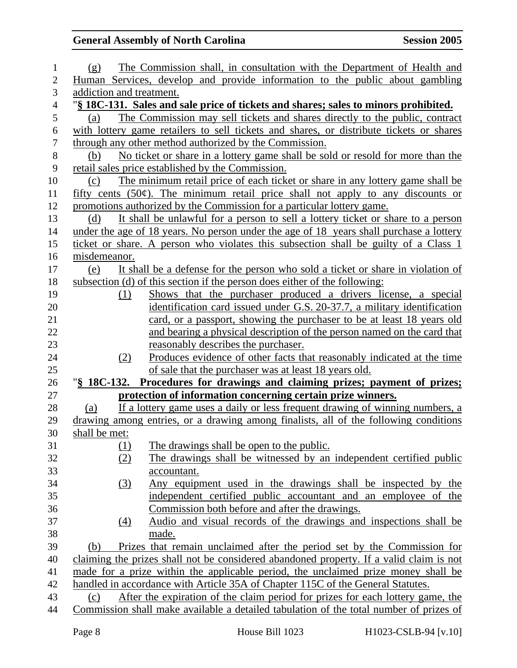| 1                | (g)           |            | The Commission shall, in consultation with the Department of Health and                 |
|------------------|---------------|------------|-----------------------------------------------------------------------------------------|
| $\overline{2}$   |               |            | Human Services, develop and provide information to the public about gambling            |
| 3                |               |            | addiction and treatment.                                                                |
| $\overline{4}$   |               |            | "§ 18C-131. Sales and sale price of tickets and shares; sales to minors prohibited.     |
| 5                | (a)           |            | The Commission may sell tickets and shares directly to the public, contract             |
| 6                |               |            | with lottery game retailers to sell tickets and shares, or distribute tickets or shares |
| $\overline{7}$   |               |            | through any other method authorized by the Commission.                                  |
| $8\,$            | (b)           |            | No ticket or share in a lottery game shall be sold or resold for more than the          |
| $\boldsymbol{9}$ |               |            | retail sales price established by the Commission.                                       |
| 10               | (c)           |            | The minimum retail price of each ticket or share in any lottery game shall be           |
| 11               |               |            | fifty cents $(50¢)$ . The minimum retail price shall not apply to any discounts or      |
| 12               |               |            | promotions authorized by the Commission for a particular lottery game.                  |
| 13               | (d)           |            | It shall be unlawful for a person to sell a lottery ticket or share to a person         |
| 14               |               |            | under the age of 18 years. No person under the age of 18 years shall purchase a lottery |
| 15               |               |            | ticket or share. A person who violates this subsection shall be guilty of a Class 1     |
| 16               | misdemeanor.  |            |                                                                                         |
| 17               | (e)           |            | It shall be a defense for the person who sold a ticket or share in violation of         |
| 18               |               |            | subsection (d) of this section if the person does either of the following:              |
| 19               |               | (1)        | Shows that the purchaser produced a drivers license, a special                          |
| 20               |               |            | identification card issued under G.S. 20-37.7, a military identification                |
| 21               |               |            | card, or a passport, showing the purchaser to be at least 18 years old                  |
| 22               |               |            | and bearing a physical description of the person named on the card that                 |
| 23               |               |            | reasonably describes the purchaser.                                                     |
| 24               |               | (2)        | Produces evidence of other facts that reasonably indicated at the time                  |
| 25               |               |            | of sale that the purchaser was at least 18 years old.                                   |
| 26               | "§ 18C-132.   |            | Procedures for drawings and claiming prizes; payment of prizes;                         |
| 27               |               |            | protection of information concerning certain prize winners.                             |
| 28               | (a)           |            | If a lottery game uses a daily or less frequent drawing of winning numbers, a           |
| 29               |               |            | drawing among entries, or a drawing among finalists, all of the following conditions    |
| 30               | shall be met: |            |                                                                                         |
| 31               |               | <u>(1)</u> | The drawings shall be open to the public.                                               |
| 32               |               | (2)        | The drawings shall be witnessed by an independent certified public                      |
| 33               |               |            | accountant.                                                                             |
| 34               |               | (3)        | Any equipment used in the drawings shall be inspected by the                            |
| 35               |               |            | independent certified public accountant and an employee of the                          |
| 36               |               |            | Commission both before and after the drawings.                                          |
| 37               |               | (4)        | Audio and visual records of the drawings and inspections shall be                       |
| 38               |               |            | made.                                                                                   |
| 39               | (b)           |            | Prizes that remain unclaimed after the period set by the Commission for                 |
| 40               |               |            | claiming the prizes shall not be considered abandoned property. If a valid claim is not |
| 41               |               |            | made for a prize within the applicable period, the unclaimed prize money shall be       |
| 42               |               |            | handled in accordance with Article 35A of Chapter 115C of the General Statutes.         |
| 43               | (c)           |            | After the expiration of the claim period for prizes for each lottery game, the          |
| 44               |               |            | Commission shall make available a detailed tabulation of the total number of prizes of  |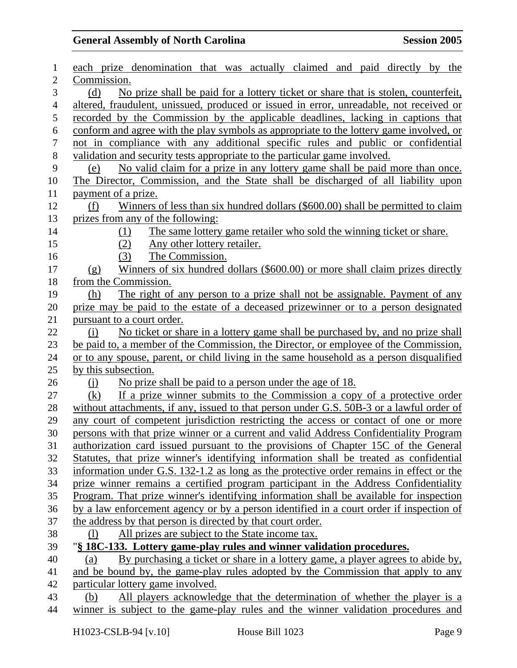| 1                | each prize denomination that was actually claimed and paid directly by the               |
|------------------|------------------------------------------------------------------------------------------|
| $\overline{2}$   | Commission.                                                                              |
| 3                | No prize shall be paid for a lottery ticket or share that is stolen, counterfeit,<br>(d) |
| $\overline{4}$   | altered, fraudulent, unissued, produced or issued in error, unreadable, not received or  |
| 5                | recorded by the Commission by the applicable deadlines, lacking in captions that         |
| 6                | conform and agree with the play symbols as appropriate to the lottery game involved, or  |
| $\boldsymbol{7}$ | not in compliance with any additional specific rules and public or confidential          |
| 8                | validation and security tests appropriate to the particular game involved.               |
| 9                | No valid claim for a prize in any lottery game shall be paid more than once.<br>(e)      |
| 10               | The Director, Commission, and the State shall be discharged of all liability upon        |
| 11               | payment of a prize.                                                                      |
| 12               | Winners of less than six hundred dollars (\$600.00) shall be permitted to claim<br>(f)   |
| 13               | prizes from any of the following:                                                        |
| 14               | The same lottery game retailer who sold the winning ticket or share.<br>(1)              |
| 15               | (2)<br>Any other lottery retailer.                                                       |
| 16               | The Commission.<br>(3)                                                                   |
| 17               | Winners of six hundred dollars (\$600.00) or more shall claim prizes directly<br>(g)     |
| 18               | from the Commission.                                                                     |
| 19               | The right of any person to a prize shall not be assignable. Payment of any<br>(h)        |
| 20               | prize may be paid to the estate of a deceased prizewinner or to a person designated      |
| 21               | pursuant to a court order.                                                               |
| 22               | No ticket or share in a lottery game shall be purchased by, and no prize shall<br>(i)    |
| 23               | be paid to, a member of the Commission, the Director, or employee of the Commission,     |
| 24               | or to any spouse, parent, or child living in the same household as a person disqualified |
| 25               | by this subsection.                                                                      |
| 26               | No prize shall be paid to a person under the age of 18.<br>$\Omega$                      |
| 27               | If a prize winner submits to the Commission a copy of a protective order<br>(k)          |
| 28               | without attachments, if any, issued to that person under G.S. 50B-3 or a lawful order of |
| 29               | any court of competent jurisdiction restricting the access or contact of one or more     |
| 30               | persons with that prize winner or a current and valid Address Confidentiality Program    |
| 31               | authorization card issued pursuant to the provisions of Chapter 15C of the General       |
| 32               | Statutes, that prize winner's identifying information shall be treated as confidential   |
| 33               | information under G.S. 132-1.2 as long as the protective order remains in effect or the  |
| 34               | prize winner remains a certified program participant in the Address Confidentiality      |
| 35               | Program. That prize winner's identifying information shall be available for inspection   |
| 36               | by a law enforcement agency or by a person identified in a court order if inspection of  |
| 37               | the address by that person is directed by that court order.                              |
| 38               | All prizes are subject to the State income tax.<br>$\left( \frac{1}{2} \right)$          |
| 39               | "§ 18C-133. Lottery game-play rules and winner validation procedures.                    |
| 40               | By purchasing a ticket or share in a lottery game, a player agrees to abide by,<br>(a)   |
| 41               | and be bound by, the game-play rules adopted by the Commission that apply to any         |
| 42               | particular lottery game involved.                                                        |
| 43               | All players acknowledge that the determination of whether the player is a<br>(b)         |
| 44               | winner is subject to the game-play rules and the winner validation procedures and        |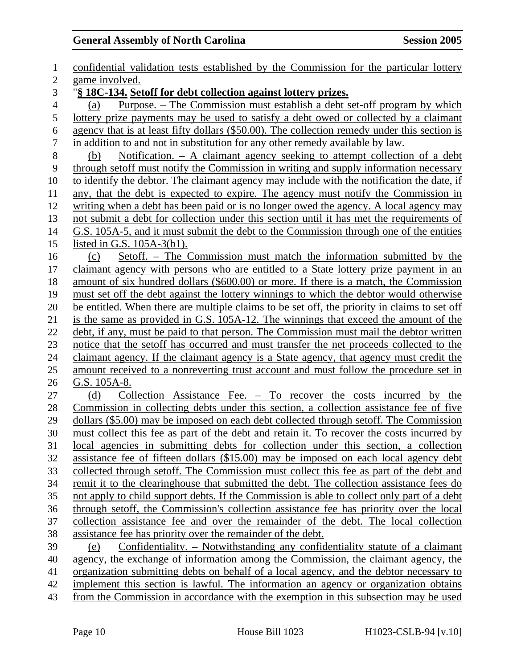1 confidential validation tests established by the Commission for the particular lottery 2 game involved. 3 "**§ 18C-134. Setoff for debt collection against lottery prizes.** 4 (a) Purpose. – The Commission must establish a debt set-off program by which 5 lottery prize payments may be used to satisfy a debt owed or collected by a claimant 6 agency that is at least fifty dollars (\$50.00). The collection remedy under this section is 7 in addition to and not in substitution for any other remedy available by law. 8 (b) Notification. – A claimant agency seeking to attempt collection of a debt 9 through setoff must notify the Commission in writing and supply information necessary 10 to identify the debtor. The claimant agency may include with the notification the date, if 11 any, that the debt is expected to expire. The agency must notify the Commission in 12 writing when a debt has been paid or is no longer owed the agency. A local agency may 13 not submit a debt for collection under this section until it has met the requirements of 14 G.S. 105A-5, and it must submit the debt to the Commission through one of the entities 15 listed in G.S. 105A-3(b1). 16 (c) Setoff. – The Commission must match the information submitted by the 17 claimant agency with persons who are entitled to a State lottery prize payment in an 18 amount of six hundred dollars (\$600.00) or more. If there is a match, the Commission 19 must set off the debt against the lottery winnings to which the debtor would otherwise 20 be entitled. When there are multiple claims to be set off, the priority in claims to set off 21 is the same as provided in G.S. 105A-12. The winnings that exceed the amount of the 22 debt, if any, must be paid to that person. The Commission must mail the debtor written 23 notice that the setoff has occurred and must transfer the net proceeds collected to the 24 claimant agency. If the claimant agency is a State agency, that agency must credit the 25 amount received to a nonreverting trust account and must follow the procedure set in 26 G.S. 105A-8. 27 (d) Collection Assistance Fee. – To recover the costs incurred by the 28 Commission in collecting debts under this section, a collection assistance fee of five 29 dollars (\$5.00) may be imposed on each debt collected through setoff. The Commission 30 must collect this fee as part of the debt and retain it. To recover the costs incurred by 31 local agencies in submitting debts for collection under this section, a collection 32 assistance fee of fifteen dollars (\$15.00) may be imposed on each local agency debt 33 collected through setoff. The Commission must collect this fee as part of the debt and 34 remit it to the clearinghouse that submitted the debt. The collection assistance fees do 35 not apply to child support debts. If the Commission is able to collect only part of a debt 36 through setoff, the Commission's collection assistance fee has priority over the local 37 collection assistance fee and over the remainder of the debt. The local collection 38 assistance fee has priority over the remainder of the debt. 39 (e) Confidentiality. – Notwithstanding any confidentiality statute of a claimant 40 agency, the exchange of information among the Commission, the claimant agency, the 41 organization submitting debts on behalf of a local agency, and the debtor necessary to 42 implement this section is lawful. The information an agency or organization obtains 43 from the Commission in accordance with the exemption in this subsection may be used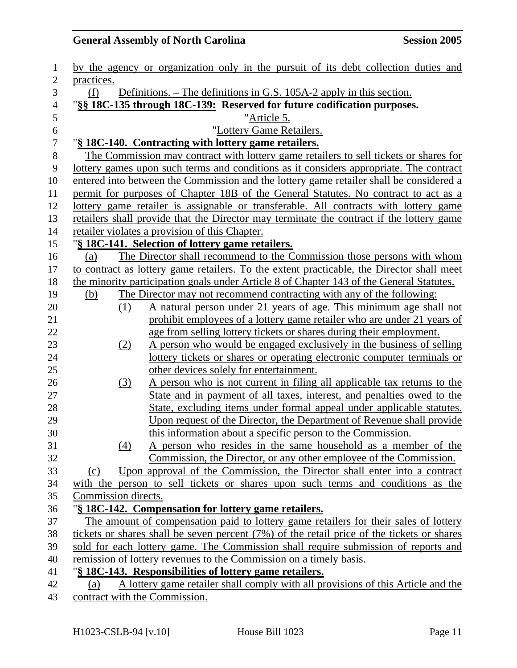| $\mathbf{1}$     |                                                                             |     | by the agency or organization only in the pursuit of its debt collection duties and          |  |
|------------------|-----------------------------------------------------------------------------|-----|----------------------------------------------------------------------------------------------|--|
| $\overline{2}$   | practices.                                                                  |     |                                                                                              |  |
| 3                | Definitions. – The definitions in G.S. 105A-2 apply in this section.<br>(f) |     |                                                                                              |  |
| $\overline{4}$   | "§§ 18C-135 through 18C-139: Reserved for future codification purposes.     |     |                                                                                              |  |
| 5                |                                                                             |     | "Article 5.                                                                                  |  |
| $\boldsymbol{6}$ |                                                                             |     | "Lottery Game Retailers.                                                                     |  |
| $\overline{7}$   |                                                                             |     | "§ 18C-140. Contracting with lottery game retailers.                                         |  |
| $8\,$            |                                                                             |     | The Commission may contract with lottery game retailers to sell tickets or shares for        |  |
| 9                |                                                                             |     | lottery games upon such terms and conditions as it considers appropriate. The contract       |  |
| 10               |                                                                             |     | entered into between the Commission and the lottery game retailer shall be considered a      |  |
| 11               |                                                                             |     | permit for purposes of Chapter 18B of the General Statutes. No contract to act as a          |  |
| 12               |                                                                             |     | lottery game retailer is assignable or transferable. All contracts with lottery game         |  |
| 13               |                                                                             |     | retailers shall provide that the Director may terminate the contract if the lottery game     |  |
| 14               |                                                                             |     | retailer violates a provision of this Chapter.                                               |  |
| 15               |                                                                             |     | "§ 18C-141. Selection of lottery game retailers.                                             |  |
| 16               | (a)                                                                         |     | The Director shall recommend to the Commission those persons with whom                       |  |
| 17               |                                                                             |     | to contract as lottery game retailers. To the extent practicable, the Director shall meet    |  |
| 18               |                                                                             |     | the minority participation goals under Article 8 of Chapter 143 of the General Statutes.     |  |
| 19               | (b)                                                                         |     | The Director may not recommend contracting with any of the following:                        |  |
| 20               |                                                                             | (1) | A natural person under 21 years of age. This minimum age shall not                           |  |
| 21               |                                                                             |     | prohibit employees of a lottery game retailer who are under 21 years of                      |  |
| 22               |                                                                             |     | age from selling lottery tickets or shares during their employment.                          |  |
| 23               |                                                                             | (2) | A person who would be engaged exclusively in the business of selling                         |  |
| 24               |                                                                             |     | lottery tickets or shares or operating electronic computer terminals or                      |  |
| 25               |                                                                             |     | other devices solely for entertainment.                                                      |  |
| 26               |                                                                             | (3) | A person who is not current in filing all applicable tax returns to the                      |  |
| 27               |                                                                             |     | State and in payment of all taxes, interest, and penalties owed to the                       |  |
| 28               |                                                                             |     | State, excluding items under formal appeal under applicable statutes.                        |  |
| 29               |                                                                             |     | Upon request of the Director, the Department of Revenue shall provide                        |  |
| 30               |                                                                             |     | this information about a specific person to the Commission.                                  |  |
| 31               |                                                                             | (4) | A person who resides in the same household as a member of the                                |  |
| 32               |                                                                             |     | Commission, the Director, or any other employee of the Commission.                           |  |
| 33               | (c)                                                                         |     | Upon approval of the Commission, the Director shall enter into a contract                    |  |
| 34               |                                                                             |     | with the person to sell tickets or shares upon such terms and conditions as the              |  |
| 35               | Commission directs.                                                         |     |                                                                                              |  |
| 36               |                                                                             |     | "§ 18C-142. Compensation for lottery game retailers.                                         |  |
| 37               |                                                                             |     | The amount of compensation paid to lottery game retailers for their sales of lottery         |  |
| 38               |                                                                             |     | tickets or shares shall be seven percent $(7%)$ of the retail price of the tickets or shares |  |
| 39               |                                                                             |     | sold for each lottery game. The Commission shall require submission of reports and           |  |
| 40               |                                                                             |     | remission of lottery revenues to the Commission on a timely basis.                           |  |
| 41               |                                                                             |     | "§ 18C-143. Responsibilities of lottery game retailers.                                      |  |
| 42               | (a)                                                                         |     | A lottery game retailer shall comply with all provisions of this Article and the             |  |
| 43               |                                                                             |     | contract with the Commission.                                                                |  |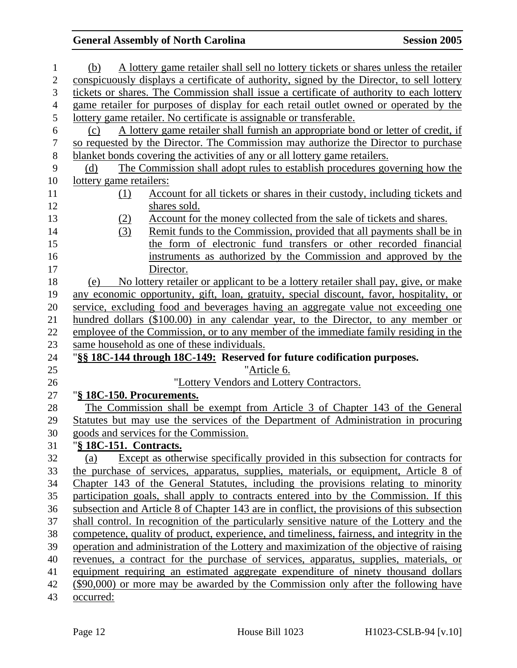| 1                                                                    | A lottery game retailer shall sell no lottery tickets or shares unless the retailer<br>(b)                                                                                                                                                                                                                                                                                                                                                                                                                                                                                                                                                                                                                                                                                                                                                                                                                                                                                                                                        |
|----------------------------------------------------------------------|-----------------------------------------------------------------------------------------------------------------------------------------------------------------------------------------------------------------------------------------------------------------------------------------------------------------------------------------------------------------------------------------------------------------------------------------------------------------------------------------------------------------------------------------------------------------------------------------------------------------------------------------------------------------------------------------------------------------------------------------------------------------------------------------------------------------------------------------------------------------------------------------------------------------------------------------------------------------------------------------------------------------------------------|
| $\overline{2}$                                                       | conspicuously displays a certificate of authority, signed by the Director, to sell lottery                                                                                                                                                                                                                                                                                                                                                                                                                                                                                                                                                                                                                                                                                                                                                                                                                                                                                                                                        |
| 3                                                                    | tickets or shares. The Commission shall issue a certificate of authority to each lottery                                                                                                                                                                                                                                                                                                                                                                                                                                                                                                                                                                                                                                                                                                                                                                                                                                                                                                                                          |
| $\overline{4}$                                                       | game retailer for purposes of display for each retail outlet owned or operated by the                                                                                                                                                                                                                                                                                                                                                                                                                                                                                                                                                                                                                                                                                                                                                                                                                                                                                                                                             |
| 5                                                                    | lottery game retailer. No certificate is assignable or transferable.                                                                                                                                                                                                                                                                                                                                                                                                                                                                                                                                                                                                                                                                                                                                                                                                                                                                                                                                                              |
| 6                                                                    | A lottery game retailer shall furnish an appropriate bond or letter of credit, if<br>(c)                                                                                                                                                                                                                                                                                                                                                                                                                                                                                                                                                                                                                                                                                                                                                                                                                                                                                                                                          |
| $\boldsymbol{7}$                                                     | so requested by the Director. The Commission may authorize the Director to purchase                                                                                                                                                                                                                                                                                                                                                                                                                                                                                                                                                                                                                                                                                                                                                                                                                                                                                                                                               |
| $8\,$                                                                | blanket bonds covering the activities of any or all lottery game retailers.                                                                                                                                                                                                                                                                                                                                                                                                                                                                                                                                                                                                                                                                                                                                                                                                                                                                                                                                                       |
| 9                                                                    | The Commission shall adopt rules to establish procedures governing how the<br>(d)                                                                                                                                                                                                                                                                                                                                                                                                                                                                                                                                                                                                                                                                                                                                                                                                                                                                                                                                                 |
| 10                                                                   | <u>lottery</u> game retailers:                                                                                                                                                                                                                                                                                                                                                                                                                                                                                                                                                                                                                                                                                                                                                                                                                                                                                                                                                                                                    |
| 11                                                                   | Account for all tickets or shares in their custody, including tickets and<br>(1)                                                                                                                                                                                                                                                                                                                                                                                                                                                                                                                                                                                                                                                                                                                                                                                                                                                                                                                                                  |
| 12                                                                   | shares sold.                                                                                                                                                                                                                                                                                                                                                                                                                                                                                                                                                                                                                                                                                                                                                                                                                                                                                                                                                                                                                      |
| 13                                                                   | Account for the money collected from the sale of tickets and shares.<br>(2)                                                                                                                                                                                                                                                                                                                                                                                                                                                                                                                                                                                                                                                                                                                                                                                                                                                                                                                                                       |
| 14                                                                   | (3)<br>Remit funds to the Commission, provided that all payments shall be in                                                                                                                                                                                                                                                                                                                                                                                                                                                                                                                                                                                                                                                                                                                                                                                                                                                                                                                                                      |
| 15                                                                   | the form of electronic fund transfers or other recorded financial                                                                                                                                                                                                                                                                                                                                                                                                                                                                                                                                                                                                                                                                                                                                                                                                                                                                                                                                                                 |
| 16                                                                   | instruments as authorized by the Commission and approved by the                                                                                                                                                                                                                                                                                                                                                                                                                                                                                                                                                                                                                                                                                                                                                                                                                                                                                                                                                                   |
| 17                                                                   | Director.                                                                                                                                                                                                                                                                                                                                                                                                                                                                                                                                                                                                                                                                                                                                                                                                                                                                                                                                                                                                                         |
| 18                                                                   | No lottery retailer or applicant to be a lottery retailer shall pay, give, or make<br>(e)                                                                                                                                                                                                                                                                                                                                                                                                                                                                                                                                                                                                                                                                                                                                                                                                                                                                                                                                         |
| 19                                                                   | any economic opportunity, gift, loan, gratuity, special discount, favor, hospitality, or                                                                                                                                                                                                                                                                                                                                                                                                                                                                                                                                                                                                                                                                                                                                                                                                                                                                                                                                          |
| 20                                                                   | service, excluding food and beverages having an aggregate value not exceeding one                                                                                                                                                                                                                                                                                                                                                                                                                                                                                                                                                                                                                                                                                                                                                                                                                                                                                                                                                 |
| 21                                                                   | hundred dollars (\$100.00) in any calendar year, to the Director, to any member or                                                                                                                                                                                                                                                                                                                                                                                                                                                                                                                                                                                                                                                                                                                                                                                                                                                                                                                                                |
| 22                                                                   | employee of the Commission, or to any member of the immediate family residing in the                                                                                                                                                                                                                                                                                                                                                                                                                                                                                                                                                                                                                                                                                                                                                                                                                                                                                                                                              |
| 23                                                                   | same household as one of these individuals.                                                                                                                                                                                                                                                                                                                                                                                                                                                                                                                                                                                                                                                                                                                                                                                                                                                                                                                                                                                       |
| 24                                                                   |                                                                                                                                                                                                                                                                                                                                                                                                                                                                                                                                                                                                                                                                                                                                                                                                                                                                                                                                                                                                                                   |
| 25                                                                   | "Article 6.                                                                                                                                                                                                                                                                                                                                                                                                                                                                                                                                                                                                                                                                                                                                                                                                                                                                                                                                                                                                                       |
| 26                                                                   | "Lottery Vendors and Lottery Contractors.                                                                                                                                                                                                                                                                                                                                                                                                                                                                                                                                                                                                                                                                                                                                                                                                                                                                                                                                                                                         |
| 27                                                                   | "§ 18C-150. Procurements.                                                                                                                                                                                                                                                                                                                                                                                                                                                                                                                                                                                                                                                                                                                                                                                                                                                                                                                                                                                                         |
| 28                                                                   | The Commission shall be exempt from Article 3 of Chapter 143 of the General                                                                                                                                                                                                                                                                                                                                                                                                                                                                                                                                                                                                                                                                                                                                                                                                                                                                                                                                                       |
| 29                                                                   | Statutes but may use the services of the Department of Administration in procuring                                                                                                                                                                                                                                                                                                                                                                                                                                                                                                                                                                                                                                                                                                                                                                                                                                                                                                                                                |
| 30                                                                   | goods and services for the Commission.                                                                                                                                                                                                                                                                                                                                                                                                                                                                                                                                                                                                                                                                                                                                                                                                                                                                                                                                                                                            |
| 31                                                                   | "§ 18C-151. Contracts.                                                                                                                                                                                                                                                                                                                                                                                                                                                                                                                                                                                                                                                                                                                                                                                                                                                                                                                                                                                                            |
|                                                                      |                                                                                                                                                                                                                                                                                                                                                                                                                                                                                                                                                                                                                                                                                                                                                                                                                                                                                                                                                                                                                                   |
|                                                                      |                                                                                                                                                                                                                                                                                                                                                                                                                                                                                                                                                                                                                                                                                                                                                                                                                                                                                                                                                                                                                                   |
|                                                                      |                                                                                                                                                                                                                                                                                                                                                                                                                                                                                                                                                                                                                                                                                                                                                                                                                                                                                                                                                                                                                                   |
|                                                                      |                                                                                                                                                                                                                                                                                                                                                                                                                                                                                                                                                                                                                                                                                                                                                                                                                                                                                                                                                                                                                                   |
|                                                                      |                                                                                                                                                                                                                                                                                                                                                                                                                                                                                                                                                                                                                                                                                                                                                                                                                                                                                                                                                                                                                                   |
|                                                                      |                                                                                                                                                                                                                                                                                                                                                                                                                                                                                                                                                                                                                                                                                                                                                                                                                                                                                                                                                                                                                                   |
|                                                                      |                                                                                                                                                                                                                                                                                                                                                                                                                                                                                                                                                                                                                                                                                                                                                                                                                                                                                                                                                                                                                                   |
|                                                                      |                                                                                                                                                                                                                                                                                                                                                                                                                                                                                                                                                                                                                                                                                                                                                                                                                                                                                                                                                                                                                                   |
|                                                                      |                                                                                                                                                                                                                                                                                                                                                                                                                                                                                                                                                                                                                                                                                                                                                                                                                                                                                                                                                                                                                                   |
|                                                                      |                                                                                                                                                                                                                                                                                                                                                                                                                                                                                                                                                                                                                                                                                                                                                                                                                                                                                                                                                                                                                                   |
|                                                                      |                                                                                                                                                                                                                                                                                                                                                                                                                                                                                                                                                                                                                                                                                                                                                                                                                                                                                                                                                                                                                                   |
| 32<br>33<br>34<br>35<br>36<br>37<br>38<br>39<br>40<br>41<br>42<br>43 | Except as otherwise specifically provided in this subsection for contracts for<br>(a)<br>the purchase of services, apparatus, supplies, materials, or equipment, Article 8 of<br>Chapter 143 of the General Statutes, including the provisions relating to minority<br>participation goals, shall apply to contracts entered into by the Commission. If this<br>subsection and Article 8 of Chapter 143 are in conflict, the provisions of this subsection<br>shall control. In recognition of the particularly sensitive nature of the Lottery and the<br>competence, quality of product, experience, and timeliness, fairness, and integrity in the<br>operation and administration of the Lottery and maximization of the objective of raising<br>revenues, a contract for the purchase of services, apparatus, supplies, materials, or<br>equipment requiring an estimated aggregate expenditure of ninety thousand dollars<br>(\$90,000) or more may be awarded by the Commission only after the following have<br>occurred: |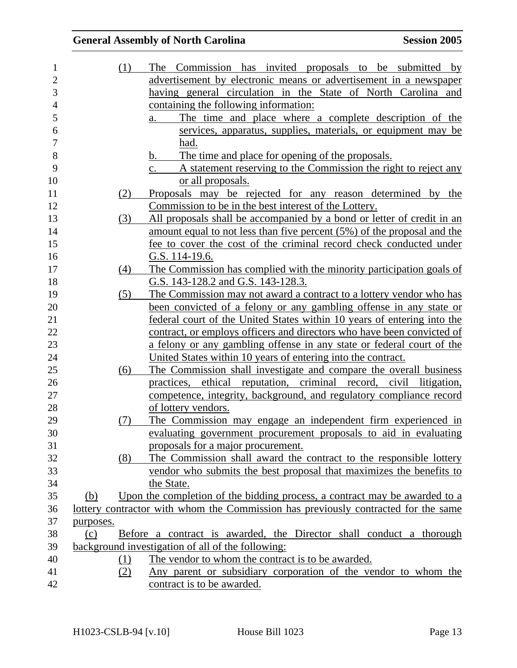| 1              |           | (1) | The Commission has invited proposals to be submitted by                            |
|----------------|-----------|-----|------------------------------------------------------------------------------------|
| $\overline{2}$ |           |     | advertisement by electronic means or advertisement in a newspaper                  |
| 3              |           |     | having general circulation in the State of North Carolina and                      |
| $\overline{4}$ |           |     | containing the following information:                                              |
| 5              |           |     | The time and place where a complete description of the<br>a.                       |
| 6              |           |     | services, apparatus, supplies, materials, or equipment may be                      |
| $\tau$         |           |     | had.                                                                               |
| 8              |           |     | The time and place for opening of the proposals.<br>b.                             |
| 9              |           |     | A statement reserving to the Commission the right to reject any<br>C.              |
| 10             |           |     | or all proposals.                                                                  |
| 11             |           | (2) | Proposals may be rejected for any reason determined by the                         |
| 12             |           |     | Commission to be in the best interest of the Lottery.                              |
| 13             |           | (3) | All proposals shall be accompanied by a bond or letter of credit in an             |
| 14             |           |     | amount equal to not less than five percent (5%) of the proposal and the            |
| 15             |           |     | fee to cover the cost of the criminal record check conducted under                 |
| 16             |           |     | G.S. 114-19.6.                                                                     |
| 17             |           | (4) | The Commission has complied with the minority participation goals of               |
| 18             |           |     | G.S. 143-128.2 and G.S. 143-128.3.                                                 |
| 19             |           | (5) | The Commission may not award a contract to a lottery vendor who has                |
| 20             |           |     | been convicted of a felony or any gambling offense in any state or                 |
| 21             |           |     | federal court of the United States within 10 years of entering into the            |
| $22\,$         |           |     | contract, or employs officers and directors who have been convicted of             |
| 23             |           |     | a felony or any gambling offense in any state or federal court of the              |
| 24             |           |     | United States within 10 years of entering into the contract.                       |
| 25             |           | (6) | The Commission shall investigate and compare the overall business                  |
| 26             |           |     | practices, ethical reputation, criminal record, civil litigation,                  |
| 27             |           |     | competence, integrity, background, and regulatory compliance record                |
| 28             |           |     | of lottery vendors.                                                                |
| 29             |           | (7) | The Commission may engage an independent firm experienced in                       |
| 30             |           |     | evaluating government procurement proposals to aid in evaluating                   |
| 31             |           |     | proposals for a major procurement.                                                 |
| 32             |           | (8) | The Commission shall award the contract to the responsible lottery                 |
| 33             |           |     | vendor who submits the best proposal that maximizes the benefits to                |
| 34             |           |     | the State.                                                                         |
| 35             | (b)       |     | Upon the completion of the bidding process, a contract may be awarded to a         |
| 36             |           |     | lottery contractor with whom the Commission has previously contracted for the same |
| 37             | purposes. |     |                                                                                    |
| 38             | (c)       |     | Before a contract is awarded, the Director shall conduct a thorough                |
| 39             |           |     | background investigation of all of the following:                                  |
| 40             |           | (1) | The vendor to whom the contract is to be awarded.                                  |
| 41             |           | (2) | <u>Any parent or subsidiary corporation of the vendor to whom the</u>              |
| 42             |           |     | contract is to be awarded.                                                         |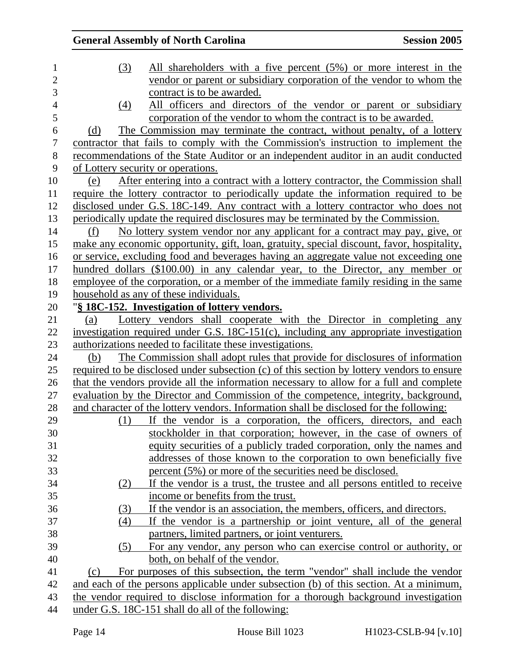| 1              | (3)<br>All shareholders with a five percent (5%) or more interest in the                     |
|----------------|----------------------------------------------------------------------------------------------|
| $\overline{c}$ | vendor or parent or subsidiary corporation of the vendor to whom the                         |
| 3              | contract is to be awarded.                                                                   |
| $\overline{4}$ | All officers and directors of the vendor or parent or subsidiary<br>(4)                      |
| 5              | corporation of the vendor to whom the contract is to be awarded.                             |
| 6              | The Commission may terminate the contract, without penalty, of a lottery<br>(d)              |
| 7              | contractor that fails to comply with the Commission's instruction to implement the           |
| 8              | recommendations of the State Auditor or an independent auditor in an audit conducted         |
| 9              | of Lottery security or operations.                                                           |
| 10             | <u>After entering into a contract with a lottery contractor, the Commission shall</u><br>(e) |
| 11             | require the lottery contractor to periodically update the information required to be         |
| 12             | disclosed under G.S. 18C-149. Any contract with a lottery contractor who does not            |
| 13             | periodically update the required disclosures may be terminated by the Commission.            |
| 14             | No lottery system vendor nor any applicant for a contract may pay, give, or<br>(f)           |
| 15             | make any economic opportunity, gift, loan, gratuity, special discount, favor, hospitality,   |
| 16             | or service, excluding food and beverages having an aggregate value not exceeding one         |
| 17             | hundred dollars (\$100.00) in any calendar year, to the Director, any member or              |
| 18             | employee of the corporation, or a member of the immediate family residing in the same        |
| 19             | household as any of these individuals.                                                       |
| 20             | "§ 18C-152. Investigation of lottery vendors.                                                |
| 21             | Lottery vendors shall cooperate with the Director in completing any<br>(a)                   |
| 22             | investigation required under G.S. 18C-151(c), including any appropriate investigation        |
| 23             | authorizations needed to facilitate these investigations.                                    |
| 24             | The Commission shall adopt rules that provide for disclosures of information<br>(b)          |
| 25             | required to be disclosed under subsection (c) of this section by lottery vendors to ensure   |
| 26             | that the vendors provide all the information necessary to allow for a full and complete      |
| 27             | evaluation by the Director and Commission of the competence, integrity, background,          |
| 28             | and character of the lottery vendors. Information shall be disclosed for the following:      |
| 29             | If the vendor is a corporation, the officers, directors, and each<br>(1)                     |
| 30             | stockholder in that corporation; however, in the case of owners of                           |
| 31             | equity securities of a publicly traded corporation, only the names and                       |
| 32             | addresses of those known to the corporation to own beneficially five                         |
| 33             | percent (5%) or more of the securities need be disclosed.                                    |
| 34             | If the vendor is a trust, the trustee and all persons entitled to receive<br>(2)             |
| 35             | income or benefits from the trust.                                                           |
| 36             | If the vendor is an association, the members, officers, and directors.<br>(3)                |
| 37             | (4)<br>If the vendor is a partnership or joint venture, all of the general                   |
| 38             | partners, limited partners, or joint venturers.                                              |
| 39             | For any vendor, any person who can exercise control or authority, or<br>(5)                  |
| 40             | both, on behalf of the vendor.                                                               |
| 41             | For purposes of this subsection, the term "vendor" shall include the vendor<br>(c)           |
| 42             | and each of the persons applicable under subsection (b) of this section. At a minimum,       |
| 43             | the vendor required to disclose information for a thorough background investigation          |
| 44             | under G.S. 18C-151 shall do all of the following:                                            |
|                |                                                                                              |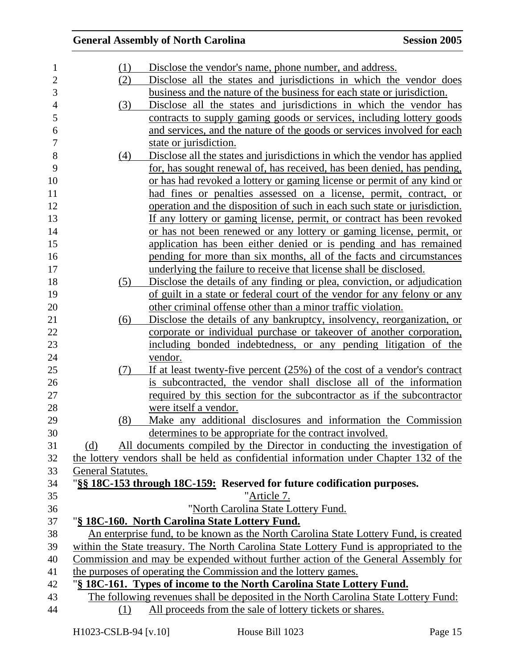| 1              | (1)               | Disclose the vendor's name, phone number, and address.                                  |
|----------------|-------------------|-----------------------------------------------------------------------------------------|
| $\overline{c}$ | (2)               | Disclose all the states and jurisdictions in which the vendor does                      |
| 3              |                   | business and the nature of the business for each state or jurisdiction.                 |
| $\overline{4}$ | (3)               | Disclose all the states and jurisdictions in which the vendor has                       |
| 5              |                   | contracts to supply gaming goods or services, including lottery goods                   |
| 6              |                   | and services, and the nature of the goods or services involved for each                 |
| 7              |                   | state or jurisdiction.                                                                  |
| 8              | (4)               | Disclose all the states and jurisdictions in which the vendor has applied               |
| 9              |                   | for, has sought renewal of, has received, has been denied, has pending,                 |
| 10             |                   | or has had revoked a lottery or gaming license or permit of any kind or                 |
| 11             |                   | had fines or penalties assessed on a license, permit, contract, or                      |
| 12             |                   | operation and the disposition of such in each such state or jurisdiction.               |
| 13             |                   | If any lottery or gaming license, permit, or contract has been revoked                  |
| 14             |                   | or has not been renewed or any lottery or gaming license, permit, or                    |
| 15             |                   | application has been either denied or is pending and has remained                       |
| 16             |                   | pending for more than six months, all of the facts and circumstances                    |
| 17             |                   | underlying the failure to receive that license shall be disclosed.                      |
| 18             | (5)               | Disclose the details of any finding or plea, conviction, or adjudication                |
| 19             |                   | of guilt in a state or federal court of the vendor for any felony or any                |
| 20             |                   | other criminal offense other than a minor traffic violation.                            |
| 21             | (6)               | Disclose the details of any bankruptcy, insolvency, reorganization, or                  |
| 22             |                   | corporate or individual purchase or takeover of another corporation,                    |
| 23             |                   | including bonded indebtedness, or any pending litigation of the                         |
| 24             |                   | vendor.                                                                                 |
| 25             | (7)               | If at least twenty-five percent $(25%)$ of the cost of a vendor's contract              |
| 26             |                   | is subcontracted, the vendor shall disclose all of the information                      |
| 27             |                   | required by this section for the subcontractor as if the subcontractor                  |
| 28             |                   | were itself a vendor.                                                                   |
| 29             | (8)               | Make any additional disclosures and information the Commission                          |
| 30             |                   | determines to be appropriate for the contract involved.                                 |
| 31             | (d)               | All documents compiled by the Director in conducting the investigation of               |
| 32             |                   | the lottery vendors shall be held as confidential information under Chapter 132 of the  |
| 33             | General Statutes. |                                                                                         |
| 34             |                   | "§§ 18C-153 through 18C-159: Reserved for future codification purposes.                 |
| 35             |                   | "Article 7.                                                                             |
| 36             |                   | "North Carolina State Lottery Fund.                                                     |
| 37             |                   | "§ 18C-160. North Carolina State Lottery Fund.                                          |
| 38             |                   | An enterprise fund, to be known as the North Carolina State Lottery Fund, is created    |
| 39             |                   | within the State treasury. The North Carolina State Lottery Fund is appropriated to the |
| 40             |                   | Commission and may be expended without further action of the General Assembly for       |
| 41             |                   | the purposes of operating the Commission and the lottery games.                         |
| 42             |                   | "§ 18C-161. Types of income to the North Carolina State Lottery Fund.                   |
| 43             |                   | The following revenues shall be deposited in the North Carolina State Lottery Fund:     |
| 44             | (1)               | All proceeds from the sale of lottery tickets or shares.                                |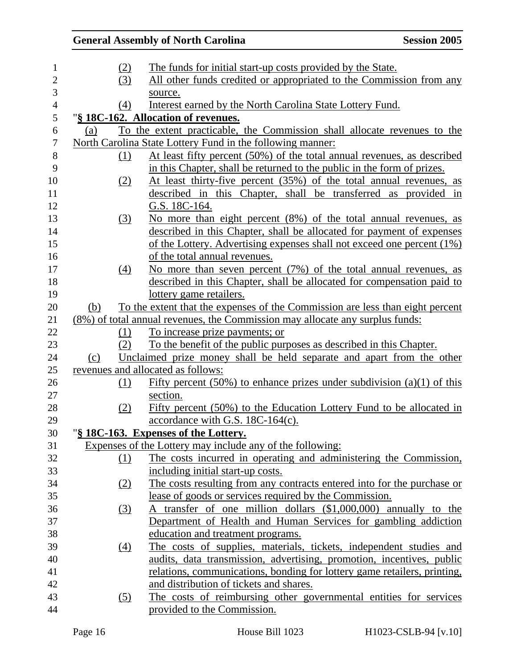|            |     | <b>General Assembly of North Carolina</b>                                     | <b>Session 2005</b> |
|------------|-----|-------------------------------------------------------------------------------|---------------------|
|            | (2) | The funds for initial start-up costs provided by the State.                   |                     |
|            | (3) | All other funds credited or appropriated to the Commission from any           |                     |
|            |     | source.                                                                       |                     |
|            | (4) | Interest earned by the North Carolina State Lottery Fund.                     |                     |
|            |     | "§ 18C-162. Allocation of revenues.                                           |                     |
| (a)        |     | To the extent practicable, the Commission shall allocate revenues to the      |                     |
|            |     | North Carolina State Lottery Fund in the following manner:                    |                     |
|            | (1) | At least fifty percent (50%) of the total annual revenues, as described       |                     |
|            |     | in this Chapter, shall be returned to the public in the form of prizes.       |                     |
|            | (2) | At least thirty-five percent (35%) of the total annual revenues, as           |                     |
|            |     | described in this Chapter, shall be transferred as provided in                |                     |
|            |     | G.S. 18C-164.                                                                 |                     |
|            | (3) | No more than eight percent (8%) of the total annual revenues, as              |                     |
|            |     | described in this Chapter, shall be allocated for payment of expenses         |                     |
|            |     | of the Lottery. Advertising expenses shall not exceed one percent (1%)        |                     |
|            |     | of the total annual revenues.                                                 |                     |
|            | (4) | No more than seven percent (7%) of the total annual revenues, as              |                     |
|            |     | described in this Chapter, shall be allocated for compensation paid to        |                     |
|            |     | lottery game retailers.                                                       |                     |
| <u>(b)</u> |     | To the extent that the expenses of the Commission are less than eight percent |                     |
|            |     | (8%) of total annual revenues, the Commission may allocate any surplus funds: |                     |
|            | (1) | To increase prize payments; or                                                |                     |
|            | (2) | To the benefit of the public purposes as described in this Chapter.           |                     |
| (c)        |     | Unclaimed prize money shall be held separate and apart from the other         |                     |
|            |     | revenues and allocated as follows:                                            |                     |
|            | (1) | Fifty percent (50%) to enhance prizes under subdivision (a)(1) of this        |                     |
|            |     | section.                                                                      |                     |
|            | (2) | Fifty percent (50%) to the Education Lottery Fund to be allocated in          |                     |
|            |     | accordance with G.S. 18C-164(c).                                              |                     |
|            |     | "§ 18C-163. Expenses of the Lottery.                                          |                     |
|            |     | Expenses of the Lottery may include any of the following:                     |                     |
|            | (1) | The costs incurred in operating and administering the Commission,             |                     |
|            |     | including initial start-up costs.                                             |                     |
|            | (2) | The costs resulting from any contracts entered into for the purchase or       |                     |
|            |     | lease of goods or services required by the Commission.                        |                     |
|            | (3) | A transfer of one million dollars (\$1,000,000) annually to the               |                     |
|            |     | Department of Health and Human Services for gambling addiction                |                     |
|            |     | education and treatment programs.                                             |                     |
|            | (4) | The costs of supplies, materials, tickets, independent studies and            |                     |
|            |     | audits, data transmission, advertising, promotion, incentives, public         |                     |
|            |     | relations, communications, bonding for lottery game retailers, printing,      |                     |
|            |     | and distribution of tickets and shares.                                       |                     |
|            | (5) | The costs of reimbursing other governmental entities for services             |                     |
|            |     | provided to the Commission.                                                   |                     |
|            |     |                                                                               |                     |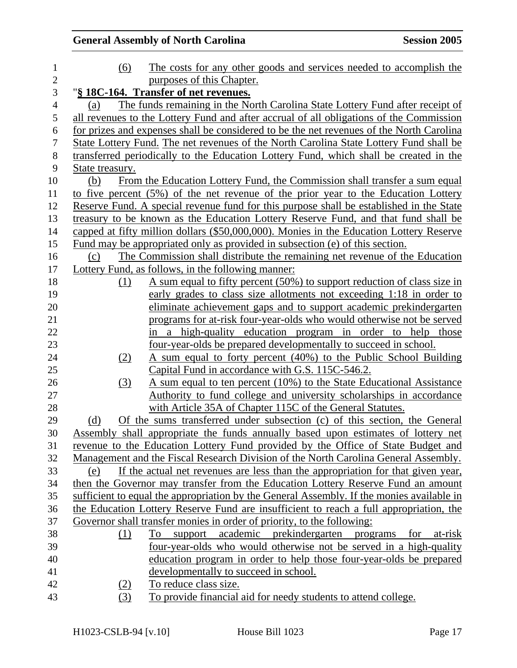| $\mathbf{1}$   | (6)             | The costs for any other goods and services needed to accomplish the                       |
|----------------|-----------------|-------------------------------------------------------------------------------------------|
| $\mathbf{2}$   |                 | purposes of this Chapter.                                                                 |
| 3              |                 | "§ 18C-164. Transfer of net revenues.                                                     |
| $\overline{4}$ | (a)             | The funds remaining in the North Carolina State Lottery Fund after receipt of             |
| 5              |                 | all revenues to the Lottery Fund and after accrual of all obligations of the Commission   |
| 6              |                 | for prizes and expenses shall be considered to be the net revenues of the North Carolina  |
| $\tau$         |                 | State Lottery Fund. The net revenues of the North Carolina State Lottery Fund shall be    |
| $8\,$          |                 | transferred periodically to the Education Lottery Fund, which shall be created in the     |
| 9              | State treasury. |                                                                                           |
| 10             | (b)             | From the Education Lottery Fund, the Commission shall transfer a sum equal                |
| 11             |                 | to five percent (5%) of the net revenue of the prior year to the Education Lottery        |
| 12             |                 | Reserve Fund. A special revenue fund for this purpose shall be established in the State   |
| 13             |                 | treasury to be known as the Education Lottery Reserve Fund, and that fund shall be        |
| 14             |                 | capped at fifty million dollars (\$50,000,000). Monies in the Education Lottery Reserve   |
| 15             |                 | Fund may be appropriated only as provided in subsection (e) of this section.              |
| 16             | (c)             | The Commission shall distribute the remaining net revenue of the Education                |
| 17             |                 | Lottery Fund, as follows, in the following manner:                                        |
| 18             | (1)             | A sum equal to fifty percent (50%) to support reduction of class size in                  |
| 19             |                 | early grades to class size allotments not exceeding 1:18 in order to                      |
| 20             |                 | eliminate achievement gaps and to support academic prekindergarten                        |
| 21             |                 | programs for at-risk four-year-olds who would otherwise not be served                     |
| 22             |                 | in a high-quality education program in order to help those                                |
| 23             |                 | <u>four-year-olds be prepared developmentally to succeed in school.</u>                   |
| 24             | (2)             | A sum equal to forty percent (40%) to the Public School Building                          |
| 25             |                 | Capital Fund in accordance with G.S. 115C-546.2.                                          |
| 26             | (3)             | A sum equal to ten percent (10%) to the State Educational Assistance                      |
| 27             |                 | Authority to fund college and university scholarships in accordance                       |
| 28             |                 | with Article 35A of Chapter 115C of the General Statutes.                                 |
| 29             | (d)             | Of the sums transferred under subsection (c) of this section, the General                 |
| 30             |                 | Assembly shall appropriate the funds annually based upon estimates of lottery net         |
| 31             |                 | revenue to the Education Lottery Fund provided by the Office of State Budget and          |
| 32             |                 | Management and the Fiscal Research Division of the North Carolina General Assembly.       |
| 33             | (e)             | If the actual net revenues are less than the appropriation for that given year,           |
| 34             |                 | then the Governor may transfer from the Education Lottery Reserve Fund an amount          |
| 35             |                 | sufficient to equal the appropriation by the General Assembly. If the monies available in |
| 36             |                 | the Education Lottery Reserve Fund are insufficient to reach a full appropriation, the    |
| 37             |                 | Governor shall transfer monies in order of priority, to the following:                    |
| 38             | (1)             | To<br>academic prekindergarten<br>for<br>at-risk<br>support<br>programs                   |
| 39             |                 | four-year-olds who would otherwise not be served in a high-quality                        |
| 40             |                 | education program in order to help those four-year-olds be prepared                       |
| 41             |                 | developmentally to succeed in school.                                                     |
| 42             | (2)             | To reduce class size.                                                                     |
| 43             | (3)             | To provide financial aid for needy students to attend college.                            |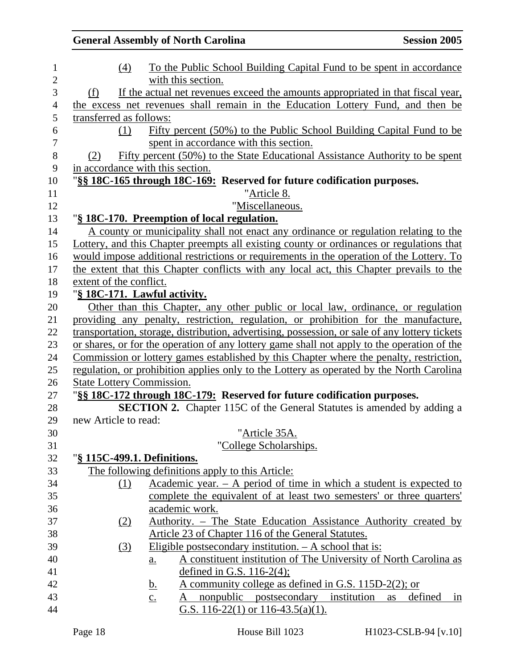|                      |                         | <b>General Assembly of North Carolina</b>                                                      | <b>Session 2005</b> |
|----------------------|-------------------------|------------------------------------------------------------------------------------------------|---------------------|
|                      | (4)                     | To the Public School Building Capital Fund to be spent in accordance                           |                     |
|                      |                         | with this section.                                                                             |                     |
| (f)                  |                         | If the actual net revenues exceed the amounts appropriated in that fiscal year,                |                     |
|                      |                         | the excess net revenues shall remain in the Education Lottery Fund, and then be                |                     |
|                      | transferred as follows: |                                                                                                |                     |
|                      | (1)                     | Fifty percent (50%) to the Public School Building Capital Fund to be                           |                     |
|                      |                         | spent in accordance with this section.                                                         |                     |
| (2)                  |                         | Fifty percent (50%) to the State Educational Assistance Authority to be spent                  |                     |
|                      |                         | in accordance with this section.                                                               |                     |
|                      |                         | "§§ 18C-165 through 18C-169: Reserved for future codification purposes.                        |                     |
|                      |                         | "Article 8.                                                                                    |                     |
|                      |                         | "Miscellaneous.                                                                                |                     |
|                      |                         | "§ 18C-170. Preemption of local regulation.                                                    |                     |
|                      |                         | A county or municipality shall not enact any ordinance or regulation relating to the           |                     |
|                      |                         | Lottery, and this Chapter preempts all existing county or ordinances or regulations that       |                     |
|                      |                         | would impose additional restrictions or requirements in the operation of the Lottery. To       |                     |
|                      |                         | the extent that this Chapter conflicts with any local act, this Chapter prevails to the        |                     |
|                      | extent of the conflict. |                                                                                                |                     |
|                      |                         | "§ 18C-171. Lawful activity.                                                                   |                     |
|                      |                         | Other than this Chapter, any other public or local law, ordinance, or regulation               |                     |
|                      |                         | providing any penalty, restriction, regulation, or prohibition for the manufacture,            |                     |
|                      |                         | transportation, storage, distribution, advertising, possession, or sale of any lottery tickets |                     |
|                      |                         | or shares, or for the operation of any lottery game shall not apply to the operation of the    |                     |
|                      |                         | Commission or lottery games established by this Chapter where the penalty, restriction,        |                     |
|                      |                         | regulation, or prohibition applies only to the Lottery as operated by the North Carolina       |                     |
|                      |                         | <b>State Lottery Commission.</b>                                                               |                     |
|                      |                         | "§§ 18C-172 through 18C-179: Reserved for future codification purposes.                        |                     |
|                      |                         | <b>SECTION 2.</b> Chapter 115C of the General Statutes is amended by adding a                  |                     |
| new Article to read: |                         |                                                                                                |                     |
|                      |                         | "Article 35A.                                                                                  |                     |
|                      |                         | "College Scholarships.                                                                         |                     |
|                      |                         | "§ 115C-499.1. Definitions.                                                                    |                     |
|                      |                         | The following definitions apply to this Article:                                               |                     |
|                      | (1)                     | Academic year. $-$ A period of time in which a student is expected to                          |                     |
|                      |                         | complete the equivalent of at least two semesters' or three quarters'                          |                     |
|                      |                         | academic work.                                                                                 |                     |
|                      |                         | Authority. – The State Education Assistance Authority created by                               |                     |
|                      | (2)                     | Article 23 of Chapter 116 of the General Statutes.                                             |                     |
|                      |                         |                                                                                                |                     |
|                      | (3)                     | Eligible postsecondary institution. $- A$ school that is:                                      |                     |
|                      |                         | A constituent institution of The University of North Carolina as<br>$\underline{a}$ .          |                     |
|                      |                         | defined in G.S. $116-2(4)$ ;                                                                   |                     |
|                      |                         | <u>A community college as defined in G.S. 115D-2(2); or</u><br><u>b.</u>                       |                     |
|                      |                         | nonpublic<br>postsecondary<br>institution<br>$\underline{c}$ .<br>A                            | defined<br>as<br>1n |
|                      |                         | G.S. $116-22(1)$ or $116-43.5(a)(1)$ .                                                         |                     |
|                      |                         |                                                                                                |                     |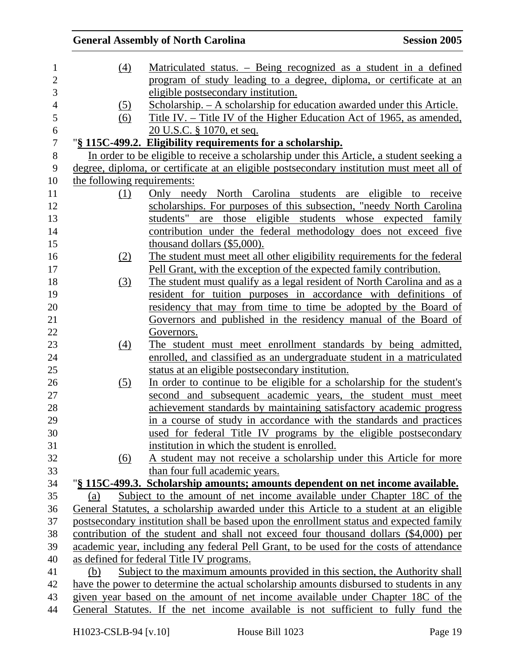|                             | <b>General Assembly of North Carolina</b>                                                 | <b>Session 2005</b> |
|-----------------------------|-------------------------------------------------------------------------------------------|---------------------|
| (4)                         | Matriculated status. - Being recognized as a student in a defined                         |                     |
|                             | program of study leading to a degree, diploma, or certificate at an                       |                     |
|                             | eligible postsecondary institution.                                                       |                     |
| (5)                         | <u> Scholarship. – A scholarship for education awarded under this Article.</u>            |                     |
| (6)                         | <u>Title IV. – Title IV of the Higher Education Act of 1965, as amended,</u>              |                     |
|                             | 20 U.S.C. § 1070, et seq.                                                                 |                     |
|                             | "§ 115C-499.2. Eligibility requirements for a scholarship.                                |                     |
|                             | In order to be eligible to receive a scholarship under this Article, a student seeking a  |                     |
|                             | degree, diploma, or certificate at an eligible postsecondary institution must meet all of |                     |
| the following requirements: |                                                                                           |                     |
| (1)                         | Only needy North Carolina students are eligible to receive                                |                     |
|                             | scholarships. For purposes of this subsection, "needy North Carolina"                     |                     |
|                             | students" are those eligible students whose expected family                               |                     |
|                             | contribution under the federal methodology does not exceed five                           |                     |
|                             | thousand dollars $(\$5,000)$ .                                                            |                     |
| (2)                         | The student must meet all other eligibility requirements for the federal                  |                     |
|                             | Pell Grant, with the exception of the expected family contribution.                       |                     |
| (3)                         | The student must qualify as a legal resident of North Carolina and as a                   |                     |
|                             | resident for tuition purposes in accordance with definitions of                           |                     |
|                             | residency that may from time to time be adopted by the Board of                           |                     |
|                             | Governors and published in the residency manual of the Board of                           |                     |
|                             | Governors.                                                                                |                     |
| (4)                         | The student must meet enrollment standards by being admitted,                             |                     |
|                             | enrolled, and classified as an undergraduate student in a matriculated                    |                     |
|                             | status at an eligible postsecondary institution.                                          |                     |
| (5)                         | In order to continue to be eligible for a scholarship for the student's                   |                     |
|                             | second and subsequent academic years, the student must meet                               |                     |
|                             | achievement standards by maintaining satisfactory academic progress                       |                     |
|                             | in a course of study in accordance with the standards and practices                       |                     |
|                             | used for federal Title IV programs by the eligible postsecondary                          |                     |
|                             | institution in which the student is enrolled.                                             |                     |
| (6)                         | A student may not receive a scholarship under this Article for more                       |                     |
|                             | than four full academic years.                                                            |                     |
|                             | "§ 115C-499.3. Scholarship amounts; amounts dependent on net income available.            |                     |
| (a)                         | Subject to the amount of net income available under Chapter 18C of the                    |                     |
|                             | General Statutes, a scholarship awarded under this Article to a student at an eligible    |                     |
|                             | postsecondary institution shall be based upon the enrollment status and expected family   |                     |
|                             | contribution of the student and shall not exceed four thousand dollars (\$4,000) per      |                     |
|                             | academic year, including any federal Pell Grant, to be used for the costs of attendance   |                     |
|                             | as defined for federal Title IV programs.                                                 |                     |
| (b)                         | Subject to the maximum amounts provided in this section, the Authority shall              |                     |
|                             | have the power to determine the actual scholarship amounts disbursed to students in any   |                     |
|                             | given year based on the amount of net income available under Chapter 18C of the           |                     |
|                             | General Statutes. If the net income available is not sufficient to fully fund the         |                     |
|                             |                                                                                           |                     |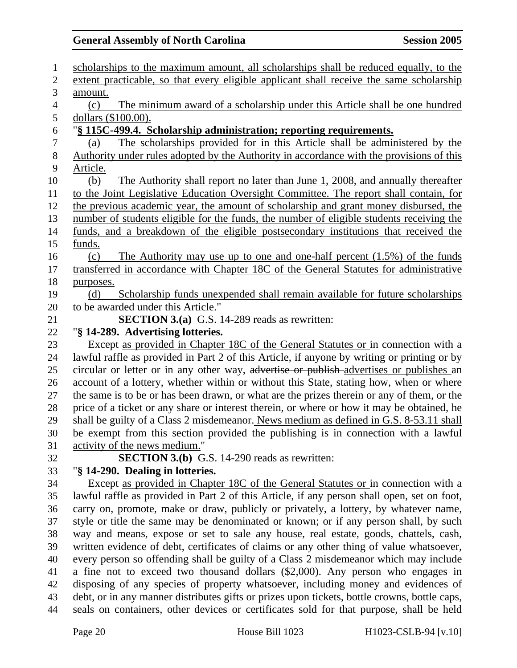| $\mathbf{1}$   | scholarships to the maximum amount, all scholarships shall be reduced equally, to the                                                                                                   |
|----------------|-----------------------------------------------------------------------------------------------------------------------------------------------------------------------------------------|
| $\overline{2}$ | extent practicable, so that every eligible applicant shall receive the same scholarship                                                                                                 |
| 3              | amount.                                                                                                                                                                                 |
| $\overline{4}$ | The minimum award of a scholarship under this Article shall be one hundred<br>(c)                                                                                                       |
| 5              | dollars (\$100.00).                                                                                                                                                                     |
| 6              | "§ 115C-499.4. Scholarship administration; reporting requirements.                                                                                                                      |
| $\tau$         | The scholarships provided for in this Article shall be administered by the<br>(a)                                                                                                       |
| $8\,$          | Authority under rules adopted by the Authority in accordance with the provisions of this                                                                                                |
| 9              | Article.                                                                                                                                                                                |
| 10             | The Authority shall report no later than June 1, 2008, and annually thereafter<br>(b)                                                                                                   |
| 11             | to the Joint Legislative Education Oversight Committee. The report shall contain, for                                                                                                   |
| 12             | the previous academic year, the amount of scholarship and grant money disbursed, the                                                                                                    |
| 13             | number of students eligible for the funds, the number of eligible students receiving the                                                                                                |
| 14             | funds, and a breakdown of the eligible postsecondary institutions that received the                                                                                                     |
| 15             | funds.                                                                                                                                                                                  |
| 16             | The Authority may use up to one and one-half percent $(1.5\%)$ of the funds<br>(c)                                                                                                      |
| 17             | transferred in accordance with Chapter 18C of the General Statutes for administrative                                                                                                   |
| 18             | purposes.                                                                                                                                                                               |
| 19             | Scholarship funds unexpended shall remain available for future scholarships<br>(d)                                                                                                      |
| 20             | to be awarded under this Article."                                                                                                                                                      |
| 21             | <b>SECTION 3.(a)</b> G.S. 14-289 reads as rewritten:                                                                                                                                    |
| 22             | "§ 14-289. Advertising lotteries.                                                                                                                                                       |
| 23             | Except as provided in Chapter 18C of the General Statutes or in connection with a                                                                                                       |
| 24             | lawful raffle as provided in Part 2 of this Article, if anyone by writing or printing or by                                                                                             |
| 25             | circular or letter or in any other way, advertise or publish-advertises or publishes an                                                                                                 |
| 26             | account of a lottery, whether within or without this State, stating how, when or where                                                                                                  |
| 27             | the same is to be or has been drawn, or what are the prizes therein or any of them, or the                                                                                              |
| 28             | price of a ticket or any share or interest therein, or where or how it may be obtained, he                                                                                              |
| 29             | shall be guilty of a Class 2 misdemeanor. News medium as defined in G.S. 8-53.11 shall                                                                                                  |
| 30             | be exempt from this section provided the publishing is in connection with a lawful                                                                                                      |
| 31             | activity of the news medium."                                                                                                                                                           |
| 32             | <b>SECTION 3.(b)</b> G.S. 14-290 reads as rewritten:                                                                                                                                    |
| 33             | "§ 14-290. Dealing in lotteries.                                                                                                                                                        |
| 34             | Except as provided in Chapter 18C of the General Statutes or in connection with a                                                                                                       |
| 35<br>36       | lawful raffle as provided in Part 2 of this Article, if any person shall open, set on foot,                                                                                             |
| 37             | carry on, promote, make or draw, publicly or privately, a lottery, by whatever name,<br>style or title the same may be denominated or known; or if any person shall, by such            |
| 38             | way and means, expose or set to sale any house, real estate, goods, chattels, cash,                                                                                                     |
| 39             | written evidence of debt, certificates of claims or any other thing of value whatsoever,                                                                                                |
| 40             | every person so offending shall be guilty of a Class 2 misdemeanor which may include                                                                                                    |
| 41             | a fine not to exceed two thousand dollars (\$2,000). Any person who engages in                                                                                                          |
| 42             | disposing of any species of property whatsoever, including money and evidences of                                                                                                       |
|                |                                                                                                                                                                                         |
|                |                                                                                                                                                                                         |
| 43<br>44       | debt, or in any manner distributes gifts or prizes upon tickets, bottle crowns, bottle caps,<br>seals on containers, other devices or certificates sold for that purpose, shall be held |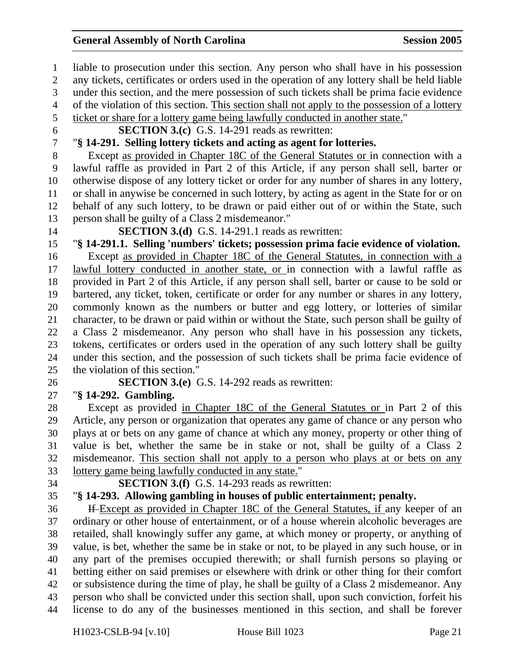1 liable to prosecution under this section. Any person who shall have in his possession 2 any tickets, certificates or orders used in the operation of any lottery shall be held liable 3 under this section, and the mere possession of such tickets shall be prima facie evidence 4 of the violation of this section. This section shall not apply to the possession of a lottery 5 ticket or share for a lottery game being lawfully conducted in another state." 6 **SECTION 3.(c)** G.S. 14-291 reads as rewritten: 7 "**§ 14-291. Selling lottery tickets and acting as agent for lotteries.**  8 Except as provided in Chapter 18C of the General Statutes or in connection with a 9 lawful raffle as provided in Part 2 of this Article, if any person shall sell, barter or 10 otherwise dispose of any lottery ticket or order for any number of shares in any lottery, 11 or shall in anywise be concerned in such lottery, by acting as agent in the State for or on 12 behalf of any such lottery, to be drawn or paid either out of or within the State, such 13 person shall be guilty of a Class 2 misdemeanor." 14 **SECTION 3.(d)** G.S. 14-291.1 reads as rewritten: 15 "**§ 14-291.1. Selling 'numbers' tickets; possession prima facie evidence of violation.**  16 Except as provided in Chapter 18C of the General Statutes, in connection with a 17 lawful lottery conducted in another state, or in connection with a lawful raffle as 18 provided in Part 2 of this Article, if any person shall sell, barter or cause to be sold or 19 bartered, any ticket, token, certificate or order for any number or shares in any lottery, 20 commonly known as the numbers or butter and egg lottery, or lotteries of similar 21 character, to be drawn or paid within or without the State, such person shall be guilty of 22 a Class 2 misdemeanor. Any person who shall have in his possession any tickets, 23 tokens, certificates or orders used in the operation of any such lottery shall be guilty 24 under this section, and the possession of such tickets shall be prima facie evidence of 25 the violation of this section." 26 **SECTION 3.(e)** G.S. 14-292 reads as rewritten: 27 "**§ 14-292. Gambling.**  28 Except as provided in Chapter 18C of the General Statutes or in Part 2 of this 29 Article, any person or organization that operates any game of chance or any person who 30 plays at or bets on any game of chance at which any money, property or other thing of 31 value is bet, whether the same be in stake or not, shall be guilty of a Class 2 32 misdemeanor. This section shall not apply to a person who plays at or bets on any 33 lottery game being lawfully conducted in any state." 34 **SECTION 3.(f)** G.S. 14-293 reads as rewritten: 35 "**§ 14-293. Allowing gambling in houses of public entertainment; penalty.**  36 If Except as provided in Chapter 18C of the General Statutes, if any keeper of an 37 ordinary or other house of entertainment, or of a house wherein alcoholic beverages are 38 retailed, shall knowingly suffer any game, at which money or property, or anything of 39 value, is bet, whether the same be in stake or not, to be played in any such house, or in 40 any part of the premises occupied therewith; or shall furnish persons so playing or 41 betting either on said premises or elsewhere with drink or other thing for their comfort 42 or subsistence during the time of play, he shall be guilty of a Class 2 misdemeanor. Any 43 person who shall be convicted under this section shall, upon such conviction, forfeit his 44 license to do any of the businesses mentioned in this section, and shall be forever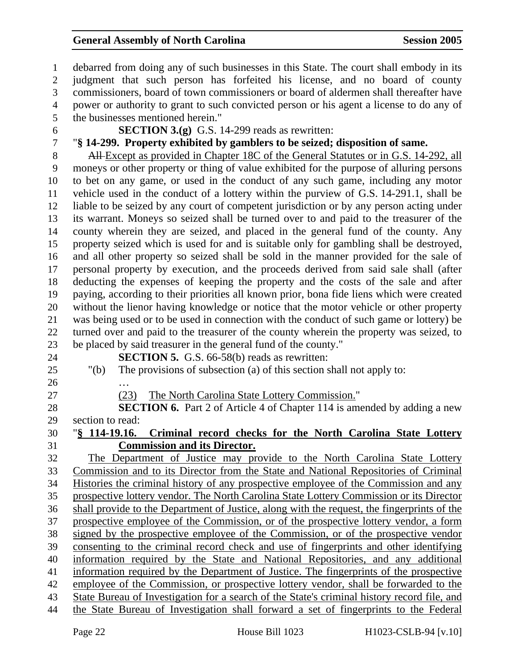1 debarred from doing any of such businesses in this State. The court shall embody in its 2 judgment that such person has forfeited his license, and no board of county 3 commissioners, board of town commissioners or board of aldermen shall thereafter have 4 power or authority to grant to such convicted person or his agent a license to do any of 5 the businesses mentioned herein." 6 **SECTION 3.(g)** G.S. 14-299 reads as rewritten: 7 "**§ 14-299. Property exhibited by gamblers to be seized; disposition of same.**  8 All-Except as provided in Chapter 18C of the General Statutes or in G.S. 14-292, all 9 moneys or other property or thing of value exhibited for the purpose of alluring persons 10 to bet on any game, or used in the conduct of any such game, including any motor 11 vehicle used in the conduct of a lottery within the purview of G.S. 14-291.1, shall be 12 liable to be seized by any court of competent jurisdiction or by any person acting under 13 its warrant. Moneys so seized shall be turned over to and paid to the treasurer of the 14 county wherein they are seized, and placed in the general fund of the county. Any 15 property seized which is used for and is suitable only for gambling shall be destroyed, 16 and all other property so seized shall be sold in the manner provided for the sale of 17 personal property by execution, and the proceeds derived from said sale shall (after 18 deducting the expenses of keeping the property and the costs of the sale and after 19 paying, according to their priorities all known prior, bona fide liens which were created 20 without the lienor having knowledge or notice that the motor vehicle or other property 21 was being used or to be used in connection with the conduct of such game or lottery) be 22 turned over and paid to the treasurer of the county wherein the property was seized, to 23 be placed by said treasurer in the general fund of the county." 24 **SECTION 5.** G.S. 66-58(b) reads as rewritten: 25 "(b) The provisions of subsection (a) of this section shall not apply to:  $26$ 27 (23) The North Carolina State Lottery Commission." 28 **SECTION 6.** Part 2 of Article 4 of Chapter 114 is amended by adding a new 29 section to read: 30 "**§ 114-19.16. Criminal record checks for the North Carolina State Lottery**  31 **Commission and its Director.** 32 The Department of Justice may provide to the North Carolina State Lottery 33 Commission and to its Director from the State and National Repositories of Criminal 34 Histories the criminal history of any prospective employee of the Commission and any 35 prospective lottery vendor. The North Carolina State Lottery Commission or its Director 36 shall provide to the Department of Justice, along with the request, the fingerprints of the 37 prospective employee of the Commission, or of the prospective lottery vendor, a form 38 signed by the prospective employee of the Commission, or of the prospective vendor 39 consenting to the criminal record check and use of fingerprints and other identifying 40 information required by the State and National Repositories, and any additional 41 information required by the Department of Justice. The fingerprints of the prospective 42 employee of the Commission, or prospective lottery vendor, shall be forwarded to the 43 State Bureau of Investigation for a search of the State's criminal history record file, and 44 the State Bureau of Investigation shall forward a set of fingerprints to the Federal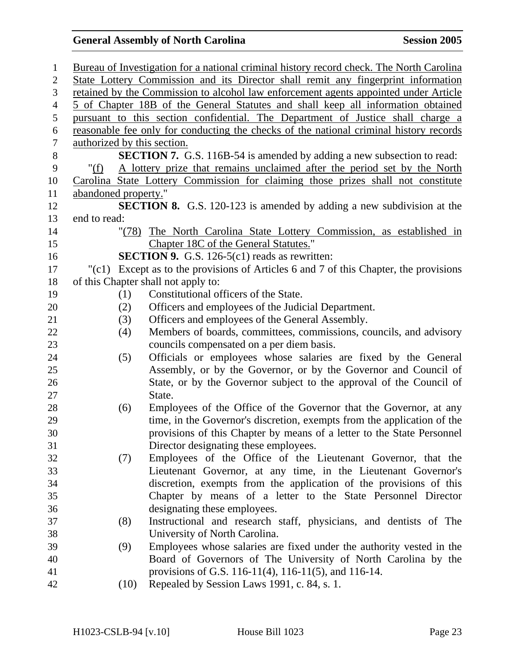| $\mathbf{1}$     |                                                                                      |      | Bureau of Investigation for a national criminal history record check. The North Carolina |  |  |
|------------------|--------------------------------------------------------------------------------------|------|------------------------------------------------------------------------------------------|--|--|
| $\mathbf{2}$     | State Lottery Commission and its Director shall remit any fingerprint information    |      |                                                                                          |  |  |
| 3                | retained by the Commission to alcohol law enforcement agents appointed under Article |      |                                                                                          |  |  |
| $\overline{4}$   | 5 of Chapter 18B of the General Statutes and shall keep all information obtained     |      |                                                                                          |  |  |
| 5                |                                                                                      |      | pursuant to this section confidential. The Department of Justice shall charge a          |  |  |
| $\boldsymbol{6}$ |                                                                                      |      | reasonable fee only for conducting the checks of the national criminal history records   |  |  |
| $\tau$           |                                                                                      |      | authorized by this section.                                                              |  |  |
| $8\,$            |                                                                                      |      | <b>SECTION 7.</b> G.S. 116B-54 is amended by adding a new subsection to read:            |  |  |
| 9                | "(f)                                                                                 |      | A lottery prize that remains unclaimed after the period set by the North                 |  |  |
| 10               |                                                                                      |      | Carolina State Lottery Commission for claiming those prizes shall not constitute         |  |  |
| 11               | abandoned property."                                                                 |      |                                                                                          |  |  |
| 12               |                                                                                      |      | <b>SECTION 8.</b> G.S. 120-123 is amended by adding a new subdivision at the             |  |  |
| 13               | end to read:                                                                         |      |                                                                                          |  |  |
| 14               |                                                                                      |      | "(78) The North Carolina State Lottery Commission, as established in                     |  |  |
| 15               |                                                                                      |      | Chapter 18C of the General Statutes."                                                    |  |  |
| 16               |                                                                                      |      | <b>SECTION 9.</b> G.S. 126-5(c1) reads as rewritten:                                     |  |  |
| 17               |                                                                                      |      | "(c1) Except as to the provisions of Articles 6 and 7 of this Chapter, the provisions    |  |  |
| 18               |                                                                                      |      | of this Chapter shall not apply to:                                                      |  |  |
| 19               |                                                                                      | (1)  | Constitutional officers of the State.                                                    |  |  |
| 20               |                                                                                      | (2)  | Officers and employees of the Judicial Department.                                       |  |  |
| 21               |                                                                                      | (3)  | Officers and employees of the General Assembly.                                          |  |  |
| 22               |                                                                                      | (4)  | Members of boards, committees, commissions, councils, and advisory                       |  |  |
| 23               |                                                                                      |      | councils compensated on a per diem basis.                                                |  |  |
| 24               |                                                                                      | (5)  | Officials or employees whose salaries are fixed by the General                           |  |  |
| 25               |                                                                                      |      | Assembly, or by the Governor, or by the Governor and Council of                          |  |  |
| 26               |                                                                                      |      | State, or by the Governor subject to the approval of the Council of                      |  |  |
| 27               |                                                                                      |      | State.                                                                                   |  |  |
| 28               |                                                                                      | (6)  | Employees of the Office of the Governor that the Governor, at any                        |  |  |
| 29               |                                                                                      |      | time, in the Governor's discretion, exempts from the application of the                  |  |  |
| 30               |                                                                                      |      | provisions of this Chapter by means of a letter to the State Personnel                   |  |  |
| 31               |                                                                                      |      | Director designating these employees.                                                    |  |  |
| 32               |                                                                                      | (7)  | Employees of the Office of the Lieutenant Governor, that the                             |  |  |
| 33               |                                                                                      |      | Lieutenant Governor, at any time, in the Lieutenant Governor's                           |  |  |
| 34               |                                                                                      |      | discretion, exempts from the application of the provisions of this                       |  |  |
| 35               |                                                                                      |      | Chapter by means of a letter to the State Personnel Director                             |  |  |
| 36               |                                                                                      |      | designating these employees.                                                             |  |  |
| 37               |                                                                                      | (8)  | Instructional and research staff, physicians, and dentists of The                        |  |  |
| 38               |                                                                                      |      | University of North Carolina.                                                            |  |  |
| 39               |                                                                                      | (9)  | Employees whose salaries are fixed under the authority vested in the                     |  |  |
| 40               |                                                                                      |      | Board of Governors of The University of North Carolina by the                            |  |  |
| 41               |                                                                                      |      | provisions of G.S. 116-11(4), 116-11(5), and 116-14.                                     |  |  |
| 42               |                                                                                      | (10) | Repealed by Session Laws 1991, c. 84, s. 1.                                              |  |  |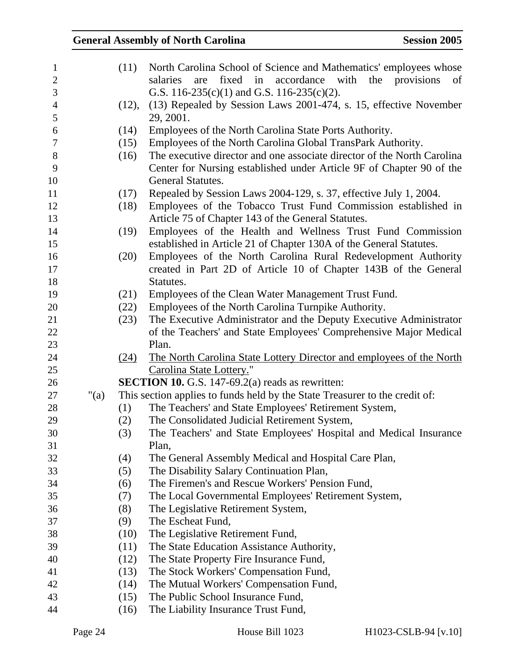| $\mathbf{1}$   |      | (11)  | North Carolina School of Science and Mathematics' employees whose           |
|----------------|------|-------|-----------------------------------------------------------------------------|
| $\mathbf{2}$   |      |       | fixed in<br>accordance with the provisions<br>salaries<br>are<br>of         |
| 3              |      |       | G.S. 116-235(c)(1) and G.S. 116-235(c)(2).                                  |
| $\overline{4}$ |      | (12), | (13) Repealed by Session Laws 2001-474, s. 15, effective November           |
| 5              |      |       | 29, 2001.                                                                   |
| 6              |      | (14)  | Employees of the North Carolina State Ports Authority.                      |
| $\tau$         |      | (15)  | Employees of the North Carolina Global TransPark Authority.                 |
| $8\,$          |      | (16)  | The executive director and one associate director of the North Carolina     |
| 9              |      |       | Center for Nursing established under Article 9F of Chapter 90 of the        |
| 10             |      |       | General Statutes.                                                           |
| 11             |      | (17)  | Repealed by Session Laws 2004-129, s. 37, effective July 1, 2004.           |
| 12             |      | (18)  | Employees of the Tobacco Trust Fund Commission established in               |
| 13             |      |       | Article 75 of Chapter 143 of the General Statutes.                          |
| 14             |      | (19)  | Employees of the Health and Wellness Trust Fund Commission                  |
| 15             |      |       | established in Article 21 of Chapter 130A of the General Statutes.          |
| 16             |      | (20)  | Employees of the North Carolina Rural Redevelopment Authority               |
| 17             |      |       | created in Part 2D of Article 10 of Chapter 143B of the General             |
| 18             |      |       | Statutes.                                                                   |
| 19             |      | (21)  | Employees of the Clean Water Management Trust Fund.                         |
| 20             |      | (22)  | Employees of the North Carolina Turnpike Authority.                         |
| 21             |      | (23)  | The Executive Administrator and the Deputy Executive Administrator          |
| 22             |      |       | of the Teachers' and State Employees' Comprehensive Major Medical           |
| 23             |      |       | Plan.                                                                       |
| 24             |      | (24)  | The North Carolina State Lottery Director and employees of the North        |
| 25             |      |       | Carolina State Lottery."                                                    |
| 26             |      |       | <b>SECTION 10.</b> G.S. 147-69.2(a) reads as rewritten:                     |
| 27             | "(a) |       | This section applies to funds held by the State Treasurer to the credit of: |
| 28             |      | (1)   | The Teachers' and State Employees' Retirement System,                       |
| 29             |      | (2)   | The Consolidated Judicial Retirement System,                                |
| 30             |      | (3)   | The Teachers' and State Employees' Hospital and Medical Insurance           |
| 31             |      |       | Plan,                                                                       |
| 32             |      | (4)   | The General Assembly Medical and Hospital Care Plan,                        |
| 33             |      | (5)   | The Disability Salary Continuation Plan,                                    |
| 34             |      | (6)   | The Firemen's and Rescue Workers' Pension Fund,                             |
| 35             |      | (7)   | The Local Governmental Employees' Retirement System,                        |
| 36             |      | (8)   | The Legislative Retirement System,                                          |
| 37             |      | (9)   | The Escheat Fund,                                                           |
| 38             |      | (10)  | The Legislative Retirement Fund,                                            |
| 39             |      | (11)  | The State Education Assistance Authority,                                   |
| 40             |      | (12)  | The State Property Fire Insurance Fund,                                     |
| 41             |      | (13)  | The Stock Workers' Compensation Fund,                                       |
| 42             |      | (14)  | The Mutual Workers' Compensation Fund,                                      |
| 43             |      | (15)  | The Public School Insurance Fund,                                           |
| 44             |      | (16)  | The Liability Insurance Trust Fund,                                         |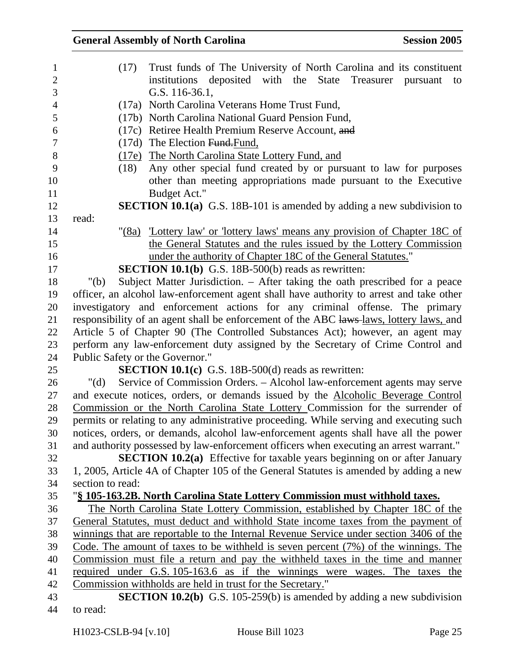| $\mathbf{1}$   | (17)                            | Trust funds of The University of North Carolina and its constituent                     |
|----------------|---------------------------------|-----------------------------------------------------------------------------------------|
| $\sqrt{2}$     |                                 | institutions deposited with the State Treasurer<br>pursuant<br>to                       |
| 3              |                                 | G.S. 116-36.1,                                                                          |
| $\overline{4}$ |                                 | (17a) North Carolina Veterans Home Trust Fund,                                          |
| 5              |                                 | (17b) North Carolina National Guard Pension Fund,                                       |
| 6              |                                 | (17c) Retiree Health Premium Reserve Account, and                                       |
| $\tau$         |                                 | (17d) The Election Fund. Fund,                                                          |
| $8\,$          |                                 | (17e) The North Carolina State Lottery Fund, and                                        |
| 9              | (18)                            | Any other special fund created by or pursuant to law for purposes                       |
| 10             |                                 | other than meeting appropriations made pursuant to the Executive                        |
| 11             |                                 | Budget Act."                                                                            |
| 12             |                                 | <b>SECTION 10.1(a)</b> G.S. 18B-101 is amended by adding a new subdivision to           |
| 13             | read:                           |                                                                                         |
| 14             |                                 | "(8a) Lottery law' or 'lottery laws' means any provision of Chapter 18C of              |
| 15             |                                 | the General Statutes and the rules issued by the Lottery Commission                     |
| 16             |                                 | under the authority of Chapter 18C of the General Statutes."                            |
| 17             |                                 | SECTION 10.1(b) G.S. 18B-500(b) reads as rewritten:                                     |
| 18             | " $(b)$                         | Subject Matter Jurisdiction. – After taking the oath prescribed for a peace             |
| 19             |                                 | officer, an alcohol law-enforcement agent shall have authority to arrest and take other |
| 20             |                                 | investigatory and enforcement actions for any criminal offense. The primary             |
| 21             |                                 | responsibility of an agent shall be enforcement of the ABC laws-laws, lottery laws, and |
| 22             |                                 | Article 5 of Chapter 90 (The Controlled Substances Act); however, an agent may          |
| 23             |                                 | perform any law-enforcement duty assigned by the Secretary of Crime Control and         |
| 24             | Public Safety or the Governor." |                                                                                         |
| 25             |                                 | <b>SECTION 10.1(c)</b> G.S. 18B-500(d) reads as rewritten:                              |
| 26             | " $(d)$                         | Service of Commission Orders. – Alcohol law-enforcement agents may serve                |
| 27             |                                 | and execute notices, orders, or demands issued by the Alcoholic Beverage Control        |
| 28             |                                 | Commission or the North Carolina State Lottery Commission for the surrender of          |
| 29             |                                 | permits or relating to any administrative proceeding. While serving and executing such  |
| 30             |                                 | notices, orders, or demands, alcohol law-enforcement agents shall have all the power    |
| 31             |                                 | and authority possessed by law-enforcement officers when executing an arrest warrant."  |
| 32             |                                 | <b>SECTION 10.2(a)</b> Effective for taxable years beginning on or after January        |
| 33             |                                 | 1, 2005, Article 4A of Chapter 105 of the General Statutes is amended by adding a new   |
| 34             | section to read:                |                                                                                         |
| 35             |                                 | "§ 105-163.2B. North Carolina State Lottery Commission must withhold taxes.             |
| 36             |                                 | The North Carolina State Lottery Commission, established by Chapter 18C of the          |
| 37             |                                 | General Statutes, must deduct and withhold State income taxes from the payment of       |
| 38             |                                 | winnings that are reportable to the Internal Revenue Service under section 3406 of the  |
| 39             |                                 | Code. The amount of taxes to be withheld is seven percent $(7%)$ of the winnings. The   |
| 40             |                                 | Commission must file a return and pay the withheld taxes in the time and manner         |
| 41             |                                 | required under G.S. 105-163.6 as if the winnings were wages. The taxes the              |
| 42             |                                 | Commission withholds are held in trust for the Secretary."                              |
| 43             |                                 | <b>SECTION 10.2(b)</b> G.S. 105-259(b) is amended by adding a new subdivision           |
| 44             | to read:                        |                                                                                         |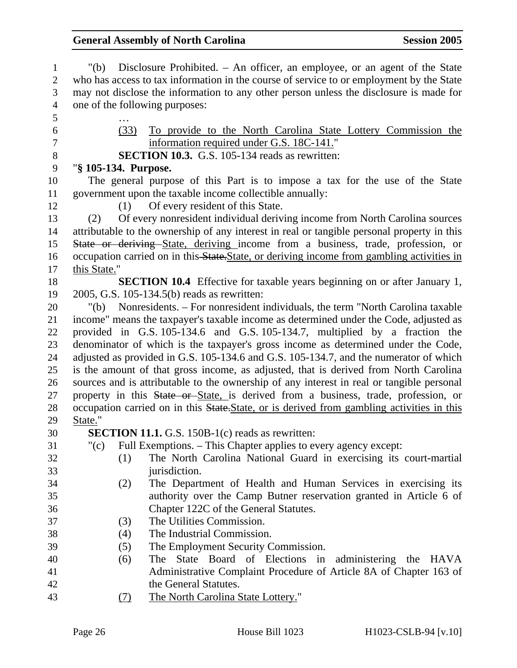| 1              | Disclosure Prohibited. – An officer, an employee, or an agent of the State<br>" $(b)$                 |  |  |  |  |
|----------------|-------------------------------------------------------------------------------------------------------|--|--|--|--|
| $\overline{2}$ | who has access to tax information in the course of service to or employment by the State              |  |  |  |  |
| 3              | may not disclose the information to any other person unless the disclosure is made for                |  |  |  |  |
| $\overline{4}$ | one of the following purposes:                                                                        |  |  |  |  |
| 5              |                                                                                                       |  |  |  |  |
| 6              | (33)<br>To provide to the North Carolina State Lottery Commission the                                 |  |  |  |  |
| $\tau$         | information required under G.S. 18C-141."                                                             |  |  |  |  |
| $8\,$          | <b>SECTION 10.3.</b> G.S. 105-134 reads as rewritten:                                                 |  |  |  |  |
| 9              | "§ 105-134. Purpose.                                                                                  |  |  |  |  |
| 10             | The general purpose of this Part is to impose a tax for the use of the State                          |  |  |  |  |
| 11             | government upon the taxable income collectible annually:                                              |  |  |  |  |
| 12             | (1) Of every resident of this State.                                                                  |  |  |  |  |
| 13             | Of every nonresident individual deriving income from North Carolina sources<br>(2)                    |  |  |  |  |
| 14             | attributable to the ownership of any interest in real or tangible personal property in this           |  |  |  |  |
| 15             | State or deriving State, deriving income from a business, trade, profession, or                       |  |  |  |  |
| 16             | occupation carried on in this-State. State, or deriving income from gambling activities in            |  |  |  |  |
| 17             | this State."                                                                                          |  |  |  |  |
| 18             | <b>SECTION 10.4</b> Effective for taxable years beginning on or after January 1,                      |  |  |  |  |
| 19             | 2005, G.S. 105-134.5(b) reads as rewritten:                                                           |  |  |  |  |
| 20             | Nonresidents. – For nonresident individuals, the term "North Carolina taxable"<br>"(b) $\overline{a}$ |  |  |  |  |
| 21             | income" means the taxpayer's taxable income as determined under the Code, adjusted as                 |  |  |  |  |
| 22             | provided in G.S. 105-134.6 and G.S. 105-134.7, multiplied by a fraction the                           |  |  |  |  |
| 23             | denominator of which is the taxpayer's gross income as determined under the Code,                     |  |  |  |  |
| 24             | adjusted as provided in G.S. 105-134.6 and G.S. 105-134.7, and the numerator of which                 |  |  |  |  |
| 25             | is the amount of that gross income, as adjusted, that is derived from North Carolina                  |  |  |  |  |
| 26             | sources and is attributable to the ownership of any interest in real or tangible personal             |  |  |  |  |
| 27             | property in this State or State, is derived from a business, trade, profession, or                    |  |  |  |  |
| 28             | occupation carried on in this State. State, or is derived from gambling activities in this            |  |  |  |  |
| 29             | State."                                                                                               |  |  |  |  |
| 30             | <b>SECTION 11.1.</b> G.S. 150B-1(c) reads as rewritten:                                               |  |  |  |  |
| 31             | " $(c)$<br>Full Exemptions. – This Chapter applies to every agency except:                            |  |  |  |  |
| 32             | The North Carolina National Guard in exercising its court-martial<br>(1)                              |  |  |  |  |
| 33             | jurisdiction.                                                                                         |  |  |  |  |
| 34             | The Department of Health and Human Services in exercising its<br>(2)                                  |  |  |  |  |
| 35             | authority over the Camp Butner reservation granted in Article 6 of                                    |  |  |  |  |
| 36             | Chapter 122C of the General Statutes.                                                                 |  |  |  |  |
| 37             | The Utilities Commission.<br>(3)                                                                      |  |  |  |  |
| 38             | The Industrial Commission.<br>(4)                                                                     |  |  |  |  |
| 39             | The Employment Security Commission.<br>(5)                                                            |  |  |  |  |
| 40             | The State Board of Elections in<br>administering the HAVA<br>(6)                                      |  |  |  |  |
| 41             | Administrative Complaint Procedure of Article 8A of Chapter 163 of                                    |  |  |  |  |
| 42             | the General Statutes.                                                                                 |  |  |  |  |
| 43             | The North Carolina State Lottery."<br><u>(7)</u>                                                      |  |  |  |  |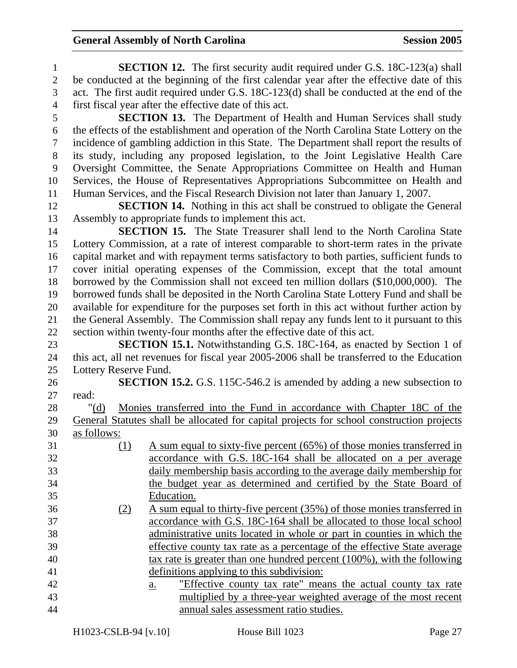1 **SECTION 12.** The first security audit required under G.S. 18C-123(a) shall 2 be conducted at the beginning of the first calendar year after the effective date of this 3 act. The first audit required under G.S. 18C-123(d) shall be conducted at the end of the 4 first fiscal year after the effective date of this act. 5 **SECTION 13.** The Department of Health and Human Services shall study 6 the effects of the establishment and operation of the North Carolina State Lottery on the 7 incidence of gambling addiction in this State. The Department shall report the results of 8 its study, including any proposed legislation, to the Joint Legislative Health Care 9 Oversight Committee, the Senate Appropriations Committee on Health and Human 10 Services, the House of Representatives Appropriations Subcommittee on Health and 11 Human Services, and the Fiscal Research Division not later than January 1, 2007. 12 **SECTION 14.** Nothing in this act shall be construed to obligate the General 13 Assembly to appropriate funds to implement this act. 14 **SECTION 15.** The State Treasurer shall lend to the North Carolina State 15 Lottery Commission, at a rate of interest comparable to short-term rates in the private 16 capital market and with repayment terms satisfactory to both parties, sufficient funds to 17 cover initial operating expenses of the Commission, except that the total amount 18 borrowed by the Commission shall not exceed ten million dollars (\$10,000,000). The 19 borrowed funds shall be deposited in the North Carolina State Lottery Fund and shall be 20 available for expenditure for the purposes set forth in this act without further action by 21 the General Assembly. The Commission shall repay any funds lent to it pursuant to this 22 section within twenty-four months after the effective date of this act. 23 **SECTION 15.1.** Notwithstanding G.S. 18C-164, as enacted by Section 1 of 24 this act, all net revenues for fiscal year 2005-2006 shall be transferred to the Education 25 Lottery Reserve Fund. 26 **SECTION 15.2.** G.S. 115C-546.2 is amended by adding a new subsection to 27 read: 28 "(d) Monies transferred into the Fund in accordance with Chapter 18C of the 29 General Statutes shall be allocated for capital projects for school construction projects 30 as follows: 31 (1) A sum equal to sixty-five percent (65%) of those monies transferred in 32 accordance with G.S. 18C-164 shall be allocated on a per average 33 daily membership basis according to the average daily membership for 34 the budget year as determined and certified by the State Board of 35 Education. 36 (2) A sum equal to thirty-five percent (35%) of those monies transferred in 37 accordance with G.S. 18C-164 shall be allocated to those local school 38 administrative units located in whole or part in counties in which the 39 effective county tax rate as a percentage of the effective State average 40 tax rate is greater than one hundred percent (100%), with the following 41 definitions applying to this subdivision: 42 a. "Effective county tax rate" means the actual county tax rate 43 multiplied by a three-year weighted average of the most recent 44 annual sales assessment ratio studies.